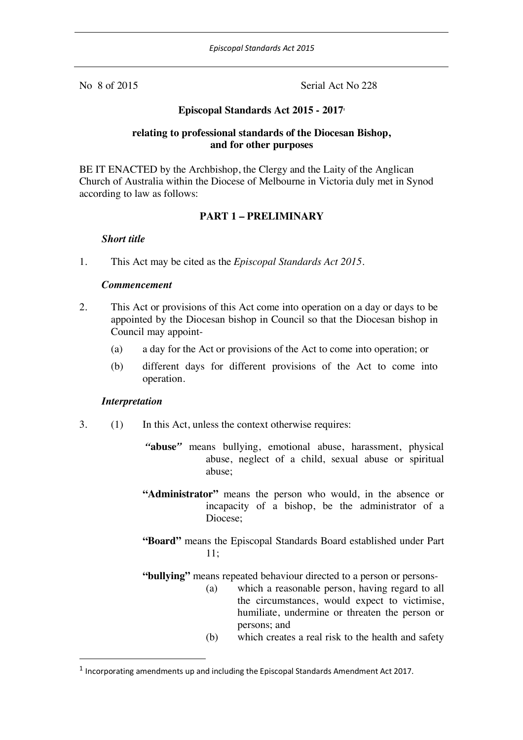No 8 of 2015 Serial Act No 228

### **Episcopal Standards Act 2015 - 20171**

### **relating to professional standards of the Diocesan Bishop, and for other purposes**

BE IT ENACTED by the Archbishop, the Clergy and the Laity of the Anglican Church of Australia within the Diocese of Melbourne in Victoria duly met in Synod according to law as follows:

### **PART 1 – PRELIMINARY**

#### *Short title*

1. This Act may be cited as the *Episcopal Standards Act 2015*.

#### *Commencement*

- 2. This Act or provisions of this Act come into operation on a day or days to be appointed by the Diocesan bishop in Council so that the Diocesan bishop in Council may appoint-
	- (a) a day for the Act or provisions of the Act to come into operation; or
	- (b) different days for different provisions of the Act to come into operation.

#### *Interpretation*

- 3. (1) In this Act, unless the context otherwise requires:
	- *"***abuse***"* means bullying, emotional abuse, harassment, physical abuse, neglect of a child, sexual abuse or spiritual abuse;
	- **"Administrator"** means the person who would, in the absence or incapacity of a bishop, be the administrator of a Diocese;
	- **"Board"** means the Episcopal Standards Board established under Part 11;

**"bullying"** means repeated behaviour directed to a person or persons-

- (a) which a reasonable person, having regard to all the circumstances, would expect to victimise, humiliate, undermine or threaten the person or persons; and
- (b) which creates a real risk to the health and safety

 $<sup>1</sup>$  Incorporating amendments up and including the Episcopal Standards Amendment Act 2017.</sup>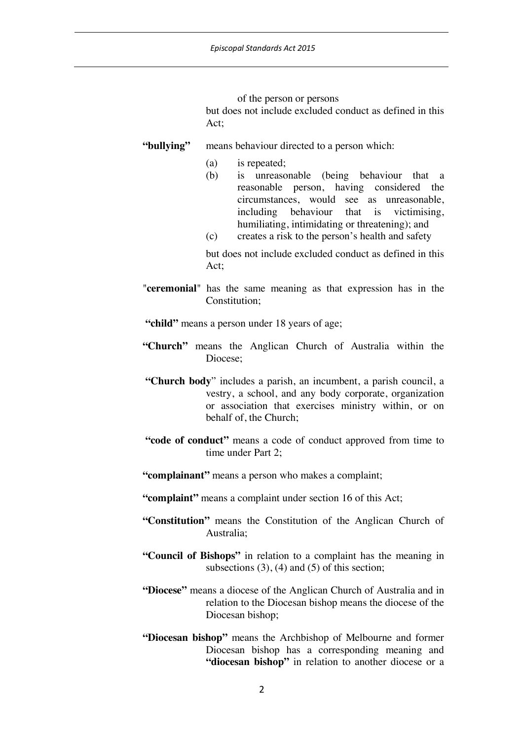of the person or persons

but does not include excluded conduct as defined in this Act;

#### **"bullying"** means behaviour directed to a person which:

- (a) is repeated;
- (b) is unreasonable (being behaviour that a reasonable person, having considered the circumstances, would see as unreasonable, including behaviour that is victimising, humiliating, intimidating or threatening); and
- (c) creates a risk to the person's health and safety

but does not include excluded conduct as defined in this  $Act$ 

"**ceremonial**" has the same meaning as that expression has in the Constitution;

**"child"** means a person under 18 years of age;

- **"Church"** means the Anglican Church of Australia within the Diocese;
- **"Church body**" includes a parish, an incumbent, a parish council, a vestry, a school, and any body corporate, organization or association that exercises ministry within, or on behalf of, the Church;
- **"code of conduct"** means a code of conduct approved from time to time under Part 2;
- **"complainant"** means a person who makes a complaint;
- **"complaint"** means a complaint under section 16 of this Act;
- **"Constitution"** means the Constitution of the Anglican Church of Australia;
- **"Council of Bishops"** in relation to a complaint has the meaning in subsections  $(3)$ ,  $(4)$  and  $(5)$  of this section;
- **"Diocese"** means a diocese of the Anglican Church of Australia and in relation to the Diocesan bishop means the diocese of the Diocesan bishop;
- **"Diocesan bishop"** means the Archbishop of Melbourne and former Diocesan bishop has a corresponding meaning and "diocesan bishop" in relation to another diocese or a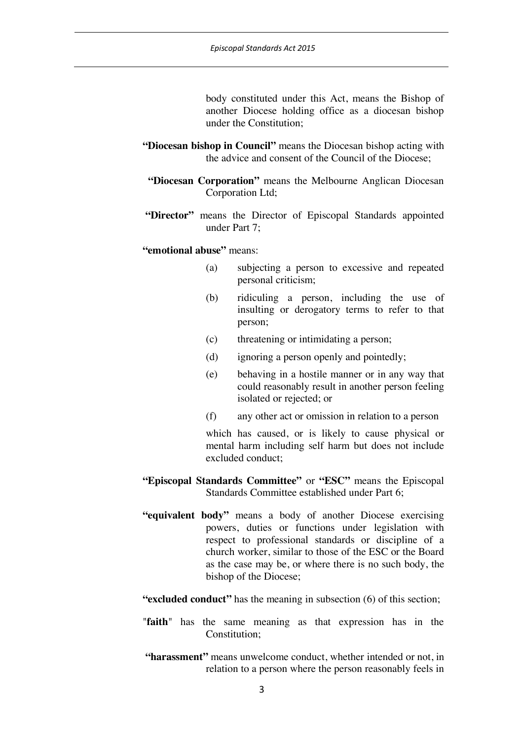body constituted under this Act, means the Bishop of another Diocese holding office as a diocesan bishop under the Constitution;

- **"Diocesan bishop in Council"** means the Diocesan bishop acting with the advice and consent of the Council of the Diocese;
- **"Diocesan Corporation"** means the Melbourne Anglican Diocesan Corporation Ltd;
- **"Director"** means the Director of Episcopal Standards appointed under Part 7;

#### **"emotional abuse"** means:

- (a) subjecting a person to excessive and repeated personal criticism;
- (b) ridiculing a person, including the use of insulting or derogatory terms to refer to that person;
- (c) threatening or intimidating a person;
- (d) ignoring a person openly and pointedly;
- (e) behaving in a hostile manner or in any way that could reasonably result in another person feeling isolated or rejected; or
- (f) any other act or omission in relation to a person

which has caused, or is likely to cause physical or mental harm including self harm but does not include excluded conduct;

- **"Episcopal Standards Committee"** or **"ESC"** means the Episcopal Standards Committee established under Part 6;
- **"equivalent body"** means a body of another Diocese exercising powers, duties or functions under legislation with respect to professional standards or discipline of a church worker, similar to those of the ESC or the Board as the case may be, or where there is no such body, the bishop of the Diocese;

**"excluded conduct"** has the meaning in subsection (6) of this section;

- "**faith**" has the same meaning as that expression has in the Constitution;
- **"harassment"** means unwelcome conduct, whether intended or not, in relation to a person where the person reasonably feels in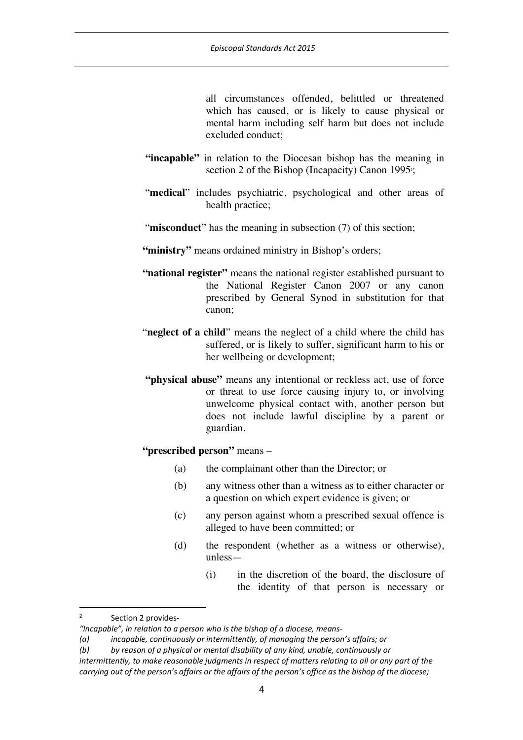all circumstances offended, belittled or threatened which has caused, or is likely to cause physical or mental harm including self harm but does not include excluded conduct;

- **"incapable"** in relation to the Diocesan bishop has the meaning in section 2 of the Bishop (Incapacity) Canon 1995:
- "**medical**" includes psychiatric, psychological and other areas of health practice;
- "**misconduct**" has the meaning in subsection (7) of this section;
- "ministry" means ordained ministry in Bishop's orders;
- **"national register"** means the national register established pursuant to the National Register Canon 2007 or any canon prescribed by General Synod in substitution for that canon;
- "**neglect of a child**" means the neglect of a child where the child has suffered, or is likely to suffer, significant harm to his or her wellbeing or development;
- **"physical abuse"** means any intentional or reckless act, use of force or threat to use force causing injury to, or involving unwelcome physical contact with, another person but does not include lawful discipline by a parent or guardian.

# **"prescribed person"** means –

- (a) the complainant other than the Director; or
- (b) any witness other than a witness as to either character or a question on which expert evidence is given; or
- (c) any person against whom a prescribed sexual offence is alleged to have been committed; or
- (d) the respondent (whether as a witness or otherwise), unless—
	- (i) in the discretion of the board, the disclosure of the identity of that person is necessary or

<sup>&</sup>lt;sup>2</sup> Section 2 provides-

*<sup>&</sup>quot;Incapable", in relation to a person who is the bishop of a diocese, means-*

*<sup>(</sup>a) incapable, continuously or intermittently, of managing the person's affairs; or*

*<sup>(</sup>b) by reason of a physical or mental disability of any kind, unable, continuously or* 

*intermittently, to make reasonable judgments in respect of matters relating to all or any part of the carrying out of the person's affairs or the affairs of the person's office as the bishop of the diocese;*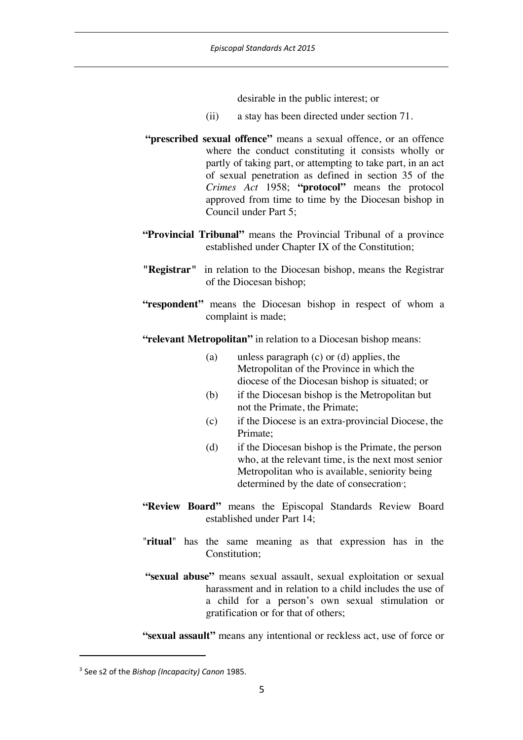desirable in the public interest; or

- (ii) a stay has been directed under section 71.
- **"prescribed sexual offence"** means a sexual offence, or an offence where the conduct constituting it consists wholly or partly of taking part, or attempting to take part, in an act of sexual penetration as defined in section 35 of the *Crimes Act* 1958; **"protocol"** means the protocol approved from time to time by the Diocesan bishop in Council under Part 5;
- **"Provincial Tribunal"** means the Provincial Tribunal of a province established under Chapter IX of the Constitution;
- **"Registrar"** in relation to the Diocesan bishop, means the Registrar of the Diocesan bishop;
- **"respondent"** means the Diocesan bishop in respect of whom a complaint is made;

**"relevant Metropolitan"** in relation to a Diocesan bishop means:

- (a) unless paragraph (c) or (d) applies, the Metropolitan of the Province in which the diocese of the Diocesan bishop is situated; or
- (b) if the Diocesan bishop is the Metropolitan but not the Primate, the Primate;
- (c) if the Diocese is an extra-provincial Diocese, the Primate;
- (d) if the Diocesan bishop is the Primate, the person who, at the relevant time, is the next most senior Metropolitan who is available, seniority being determined by the date of consecration<sup>3</sup>;
- **"Review Board"** means the Episcopal Standards Review Board established under Part 14;
- "**ritual**" has the same meaning as that expression has in the Constitution;
- **"sexual abuse"** means sexual assault, sexual exploitation or sexual harassment and in relation to a child includes the use of a child for a person's own sexual stimulation or gratification or for that of others;

**"sexual assault"** means any intentional or reckless act, use of force or

 $\overline{a}$ 

<sup>3</sup> See s2 of the *Bishop (Incapacity) Canon* 1985.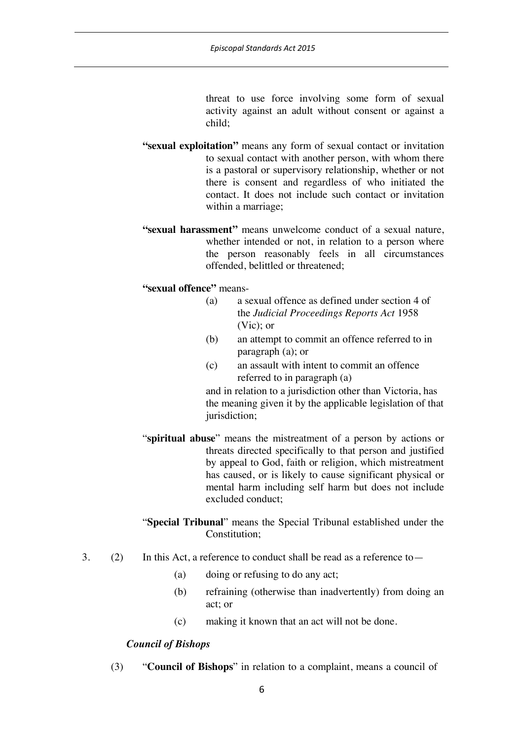threat to use force involving some form of sexual activity against an adult without consent or against a child;

- **"sexual exploitation"** means any form of sexual contact or invitation to sexual contact with another person, with whom there is a pastoral or supervisory relationship, whether or not there is consent and regardless of who initiated the contact. It does not include such contact or invitation within a marriage;
- **"sexual harassment"** means unwelcome conduct of a sexual nature, whether intended or not, in relation to a person where the person reasonably feels in all circumstances offended, belittled or threatened;

**"sexual offence"** means-

- (a) a sexual offence as defined under section 4 of the *Judicial Proceedings Reports Act* 1958 (Vic); or
- (b) an attempt to commit an offence referred to in paragraph (a); or
- (c) an assault with intent to commit an offence referred to in paragraph (a)

and in relation to a jurisdiction other than Victoria, has the meaning given it by the applicable legislation of that jurisdiction;

- "**spiritual abuse**" means the mistreatment of a person by actions or threats directed specifically to that person and justified by appeal to God, faith or religion, which mistreatment has caused, or is likely to cause significant physical or mental harm including self harm but does not include excluded conduct;
- "**Special Tribunal**" means the Special Tribunal established under the Constitution;
- 3. (2) In this Act, a reference to conduct shall be read as a reference to—
	- (a) doing or refusing to do any act;
	- (b) refraining (otherwise than inadvertently) from doing an act; or
	- (c) making it known that an act will not be done.

#### *Council of Bishops*

(3) "**Council of Bishops**" in relation to a complaint, means a council of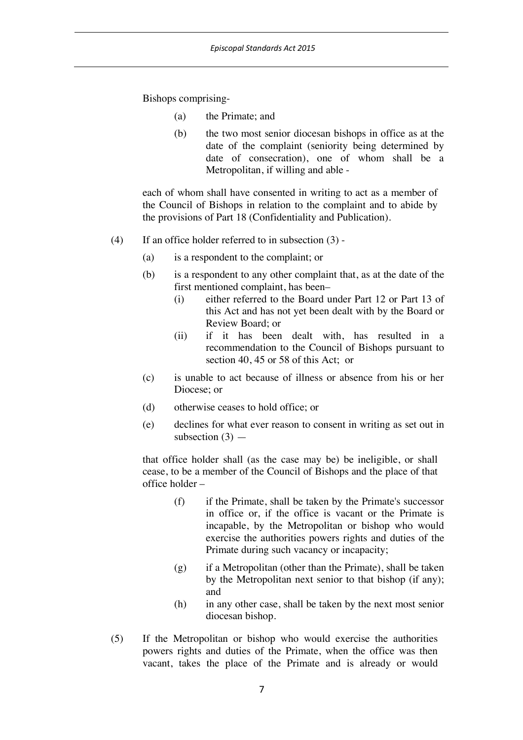Bishops comprising-

- (a) the Primate; and
- (b) the two most senior diocesan bishops in office as at the date of the complaint (seniority being determined by date of consecration), one of whom shall be a Metropolitan, if willing and able -

each of whom shall have consented in writing to act as a member of the Council of Bishops in relation to the complaint and to abide by the provisions of Part 18 (Confidentiality and Publication).

- (4) If an office holder referred to in subsection (3)
	- (a) is a respondent to the complaint; or
	- (b) is a respondent to any other complaint that, as at the date of the first mentioned complaint, has been–
		- (i) either referred to the Board under Part 12 or Part 13 of this Act and has not yet been dealt with by the Board or Review Board; or
		- (ii) if it has been dealt with, has resulted in a recommendation to the Council of Bishops pursuant to section 40, 45 or 58 of this Act; or
	- (c) is unable to act because of illness or absence from his or her Diocese; or
	- (d) otherwise ceases to hold office; or
	- (e) declines for what ever reason to consent in writing as set out in subsection  $(3)$  —

that office holder shall (as the case may be) be ineligible, or shall cease, to be a member of the Council of Bishops and the place of that office holder –

- (f) if the Primate, shall be taken by the Primate's successor in office or, if the office is vacant or the Primate is incapable, by the Metropolitan or bishop who would exercise the authorities powers rights and duties of the Primate during such vacancy or incapacity;
- $(g)$  if a Metropolitan (other than the Primate), shall be taken by the Metropolitan next senior to that bishop (if any); and
- (h) in any other case, shall be taken by the next most senior diocesan bishop.
- (5) If the Metropolitan or bishop who would exercise the authorities powers rights and duties of the Primate, when the office was then vacant, takes the place of the Primate and is already or would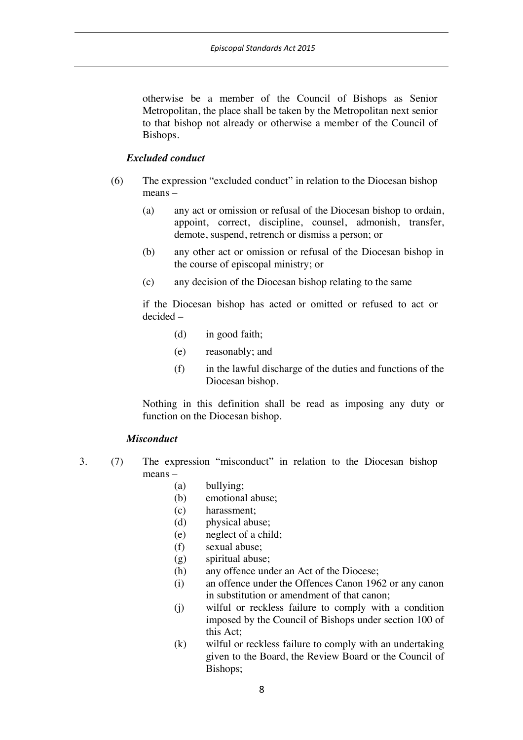otherwise be a member of the Council of Bishops as Senior Metropolitan, the place shall be taken by the Metropolitan next senior to that bishop not already or otherwise a member of the Council of Bishops.

#### *Excluded conduct*

- (6) The expression "excluded conduct" in relation to the Diocesan bishop means –
	- (a) any act or omission or refusal of the Diocesan bishop to ordain, appoint, correct, discipline, counsel, admonish, transfer, demote, suspend, retrench or dismiss a person; or
	- (b) any other act or omission or refusal of the Diocesan bishop in the course of episcopal ministry; or
	- (c) any decision of the Diocesan bishop relating to the same

if the Diocesan bishop has acted or omitted or refused to act or decided –

- (d) in good faith;
- (e) reasonably; and
- (f) in the lawful discharge of the duties and functions of the Diocesan bishop.

Nothing in this definition shall be read as imposing any duty or function on the Diocesan bishop.

#### *Misconduct*

- 3. (7) The expression "misconduct" in relation to the Diocesan bishop means –
	- (a) bullying;
	- (b) emotional abuse;
	- (c) harassment;
	- (d) physical abuse;
	- (e) neglect of a child;
	- (f) sexual abuse;
	- (g) spiritual abuse;
	- (h) any offence under an Act of the Diocese;
	- (i) an offence under the Offences Canon 1962 or any canon in substitution or amendment of that canon;
	- (j) wilful or reckless failure to comply with a condition imposed by the Council of Bishops under section 100 of this Act;
	- (k) wilful or reckless failure to comply with an undertaking given to the Board, the Review Board or the Council of Bishops;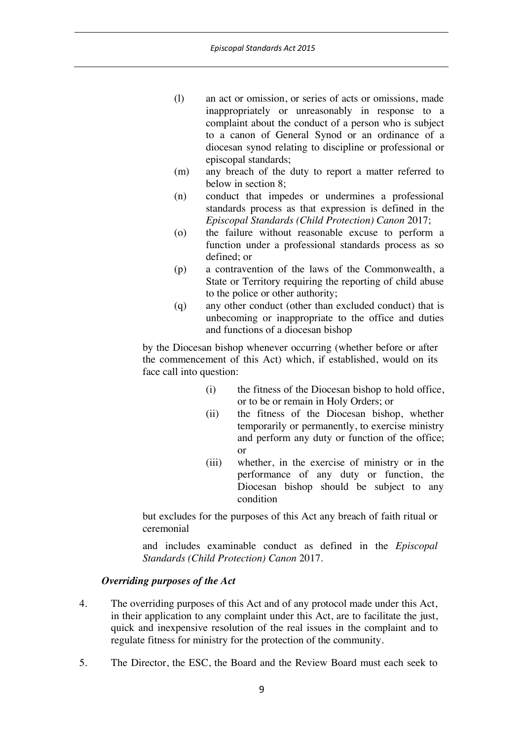- (l) an act or omission, or series of acts or omissions, made inappropriately or unreasonably in response to a complaint about the conduct of a person who is subject to a canon of General Synod or an ordinance of a diocesan synod relating to discipline or professional or episcopal standards;
- (m) any breach of the duty to report a matter referred to below in section 8;
- (n) conduct that impedes or undermines a professional standards process as that expression is defined in the *Episcopal Standards (Child Protection) Canon* 2017;
- (o) the failure without reasonable excuse to perform a function under a professional standards process as so defined; or
- (p) a contravention of the laws of the Commonwealth, a State or Territory requiring the reporting of child abuse to the police or other authority;
- (q) any other conduct (other than excluded conduct) that is unbecoming or inappropriate to the office and duties and functions of a diocesan bishop

by the Diocesan bishop whenever occurring (whether before or after the commencement of this Act) which, if established, would on its face call into question:

- (i) the fitness of the Diocesan bishop to hold office, or to be or remain in Holy Orders; or
- (ii) the fitness of the Diocesan bishop, whether temporarily or permanently, to exercise ministry and perform any duty or function of the office; or
- (iii) whether, in the exercise of ministry or in the performance of any duty or function, the Diocesan bishop should be subject to any condition

but excludes for the purposes of this Act any breach of faith ritual or ceremonial

and includes examinable conduct as defined in the *Episcopal Standards (Child Protection) Canon* 2017.

### *Overriding purposes of the Act*

- 4. The overriding purposes of this Act and of any protocol made under this Act, in their application to any complaint under this Act, are to facilitate the just, quick and inexpensive resolution of the real issues in the complaint and to regulate fitness for ministry for the protection of the community.
- 5. The Director, the ESC, the Board and the Review Board must each seek to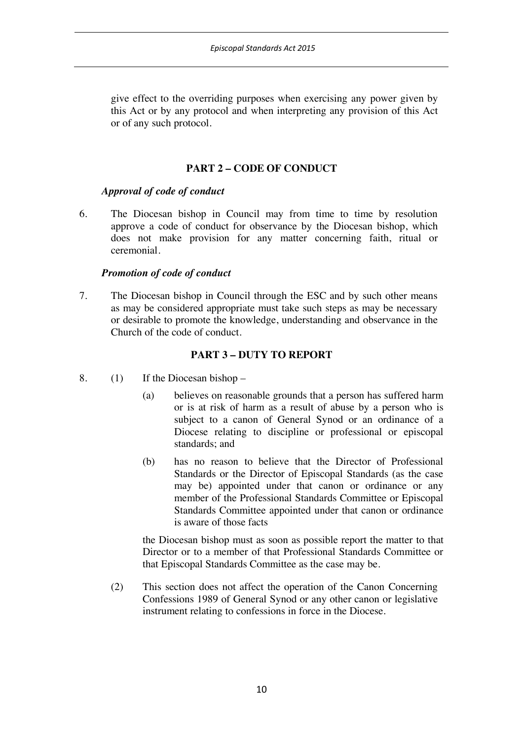give effect to the overriding purposes when exercising any power given by this Act or by any protocol and when interpreting any provision of this Act or of any such protocol.

## **PART 2 – CODE OF CONDUCT**

### *Approval of code of conduct*

6. The Diocesan bishop in Council may from time to time by resolution approve a code of conduct for observance by the Diocesan bishop, which does not make provision for any matter concerning faith, ritual or ceremonial.

### *Promotion of code of conduct*

7. The Diocesan bishop in Council through the ESC and by such other means as may be considered appropriate must take such steps as may be necessary or desirable to promote the knowledge, understanding and observance in the Church of the code of conduct.

## **PART 3 – DUTY TO REPORT**

- 8. (1) If the Diocesan bishop
	- (a) believes on reasonable grounds that a person has suffered harm or is at risk of harm as a result of abuse by a person who is subject to a canon of General Synod or an ordinance of a Diocese relating to discipline or professional or episcopal standards; and
	- (b) has no reason to believe that the Director of Professional Standards or the Director of Episcopal Standards (as the case may be) appointed under that canon or ordinance or any member of the Professional Standards Committee or Episcopal Standards Committee appointed under that canon or ordinance is aware of those facts

the Diocesan bishop must as soon as possible report the matter to that Director or to a member of that Professional Standards Committee or that Episcopal Standards Committee as the case may be.

(2) This section does not affect the operation of the Canon Concerning Confessions 1989 of General Synod or any other canon or legislative instrument relating to confessions in force in the Diocese.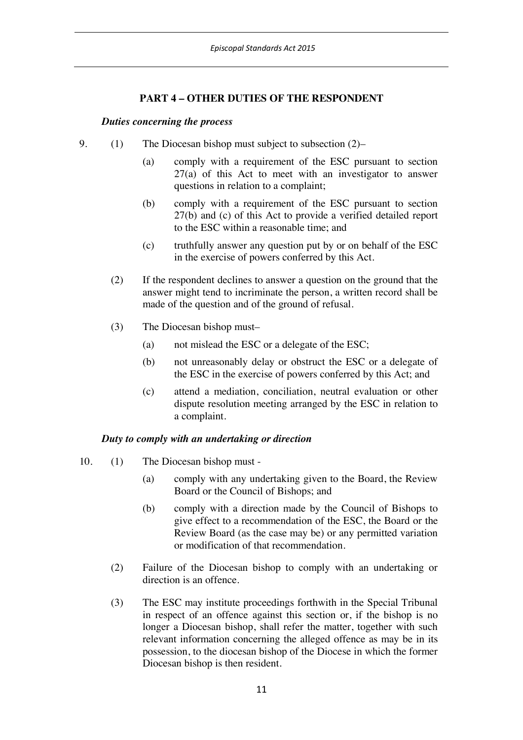# **PART 4 – OTHER DUTIES OF THE RESPONDENT**

#### *Duties concerning the process*

- 9. (1) The Diocesan bishop must subject to subsection (2)–
	- (a) comply with a requirement of the ESC pursuant to section 27(a) of this Act to meet with an investigator to answer questions in relation to a complaint;
	- (b) comply with a requirement of the ESC pursuant to section 27(b) and (c) of this Act to provide a verified detailed report to the ESC within a reasonable time; and
	- (c) truthfully answer any question put by or on behalf of the ESC in the exercise of powers conferred by this Act.
	- (2) If the respondent declines to answer a question on the ground that the answer might tend to incriminate the person, a written record shall be made of the question and of the ground of refusal.
	- (3) The Diocesan bishop must–
		- (a) not mislead the ESC or a delegate of the ESC;
		- (b) not unreasonably delay or obstruct the ESC or a delegate of the ESC in the exercise of powers conferred by this Act; and
		- (c) attend a mediation, conciliation, neutral evaluation or other dispute resolution meeting arranged by the ESC in relation to a complaint.

### *Duty to comply with an undertaking or direction*

- 10. (1) The Diocesan bishop must
	- (a) comply with any undertaking given to the Board, the Review Board or the Council of Bishops; and
	- (b) comply with a direction made by the Council of Bishops to give effect to a recommendation of the ESC, the Board or the Review Board (as the case may be) or any permitted variation or modification of that recommendation.
	- (2) Failure of the Diocesan bishop to comply with an undertaking or direction is an offence.
	- (3) The ESC may institute proceedings forthwith in the Special Tribunal in respect of an offence against this section or, if the bishop is no longer a Diocesan bishop, shall refer the matter, together with such relevant information concerning the alleged offence as may be in its possession, to the diocesan bishop of the Diocese in which the former Diocesan bishop is then resident.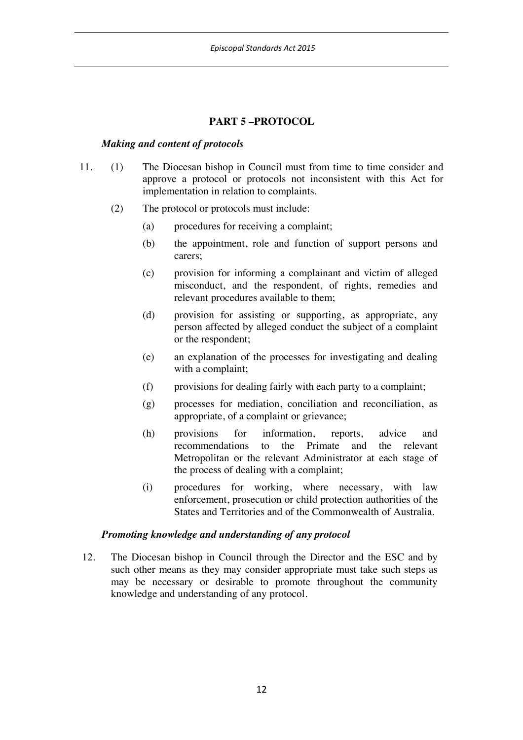### **PART 5 –PROTOCOL**

#### *Making and content of protocols*

- 11. (1) The Diocesan bishop in Council must from time to time consider and approve a protocol or protocols not inconsistent with this Act for implementation in relation to complaints.
	- (2) The protocol or protocols must include:
		- (a) procedures for receiving a complaint;
		- (b) the appointment, role and function of support persons and carers;
		- (c) provision for informing a complainant and victim of alleged misconduct, and the respondent, of rights, remedies and relevant procedures available to them;
		- (d) provision for assisting or supporting, as appropriate, any person affected by alleged conduct the subject of a complaint or the respondent;
		- (e) an explanation of the processes for investigating and dealing with a complaint;
		- (f) provisions for dealing fairly with each party to a complaint;
		- (g) processes for mediation, conciliation and reconciliation, as appropriate, of a complaint or grievance;
		- (h) provisions for information, reports, advice and recommendations to the Primate and the relevant Metropolitan or the relevant Administrator at each stage of the process of dealing with a complaint;
		- (i) procedures for working, where necessary, with law enforcement, prosecution or child protection authorities of the States and Territories and of the Commonwealth of Australia.

#### *Promoting knowledge and understanding of any protocol*

12. The Diocesan bishop in Council through the Director and the ESC and by such other means as they may consider appropriate must take such steps as may be necessary or desirable to promote throughout the community knowledge and understanding of any protocol.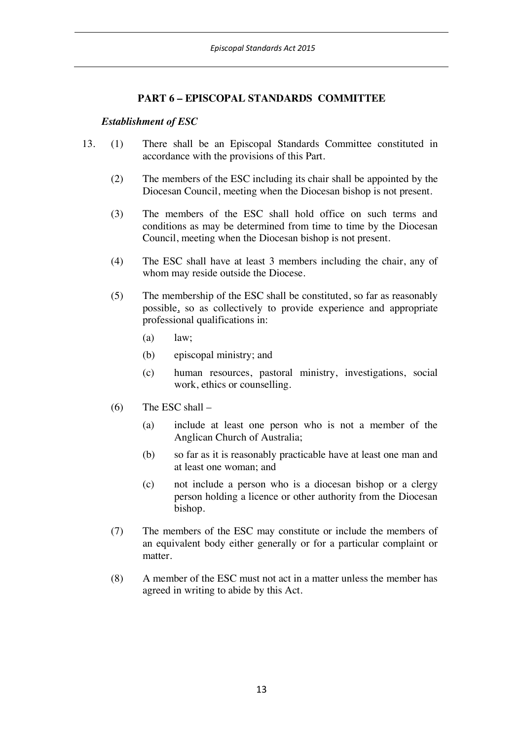### **PART 6 – EPISCOPAL STANDARDS COMMITTEE**

#### *Establishment of ESC*

- 13. (1) There shall be an Episcopal Standards Committee constituted in accordance with the provisions of this Part.
	- (2) The members of the ESC including its chair shall be appointed by the Diocesan Council, meeting when the Diocesan bishop is not present.
	- (3) The members of the ESC shall hold office on such terms and conditions as may be determined from time to time by the Diocesan Council, meeting when the Diocesan bishop is not present.
	- (4) The ESC shall have at least 3 members including the chair, any of whom may reside outside the Diocese.
	- (5) The membership of the ESC shall be constituted, so far as reasonably possible, so as collectively to provide experience and appropriate professional qualifications in:
		- (a) law;
		- (b) episcopal ministry; and
		- (c) human resources, pastoral ministry, investigations, social work, ethics or counselling.
	- $(6)$  The ESC shall
		- (a) include at least one person who is not a member of the Anglican Church of Australia;
		- (b) so far as it is reasonably practicable have at least one man and at least one woman; and
		- (c) not include a person who is a diocesan bishop or a clergy person holding a licence or other authority from the Diocesan bishop.
	- (7) The members of the ESC may constitute or include the members of an equivalent body either generally or for a particular complaint or matter.
	- (8) A member of the ESC must not act in a matter unless the member has agreed in writing to abide by this Act.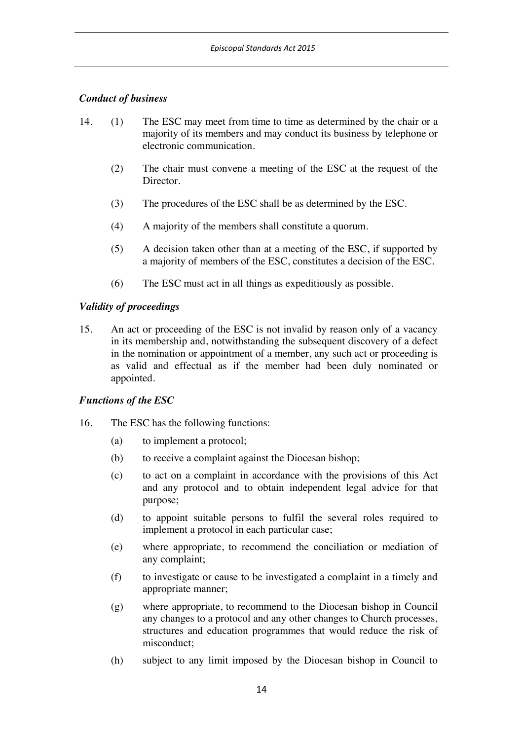# *Conduct of business*

- 14. (1) The ESC may meet from time to time as determined by the chair or a majority of its members and may conduct its business by telephone or electronic communication.
	- (2) The chair must convene a meeting of the ESC at the request of the **Director**
	- (3) The procedures of the ESC shall be as determined by the ESC.
	- (4) A majority of the members shall constitute a quorum.
	- (5) A decision taken other than at a meeting of the ESC, if supported by a majority of members of the ESC, constitutes a decision of the ESC.
	- (6) The ESC must act in all things as expeditiously as possible.

## *Validity of proceedings*

15. An act or proceeding of the ESC is not invalid by reason only of a vacancy in its membership and, notwithstanding the subsequent discovery of a defect in the nomination or appointment of a member, any such act or proceeding is as valid and effectual as if the member had been duly nominated or appointed.

# *Functions of the ESC*

- 16. The ESC has the following functions:
	- (a) to implement a protocol;
	- (b) to receive a complaint against the Diocesan bishop;
	- (c) to act on a complaint in accordance with the provisions of this Act and any protocol and to obtain independent legal advice for that purpose;
	- (d) to appoint suitable persons to fulfil the several roles required to implement a protocol in each particular case;
	- (e) where appropriate, to recommend the conciliation or mediation of any complaint;
	- (f) to investigate or cause to be investigated a complaint in a timely and appropriate manner;
	- (g) where appropriate, to recommend to the Diocesan bishop in Council any changes to a protocol and any other changes to Church processes, structures and education programmes that would reduce the risk of misconduct;
	- (h) subject to any limit imposed by the Diocesan bishop in Council to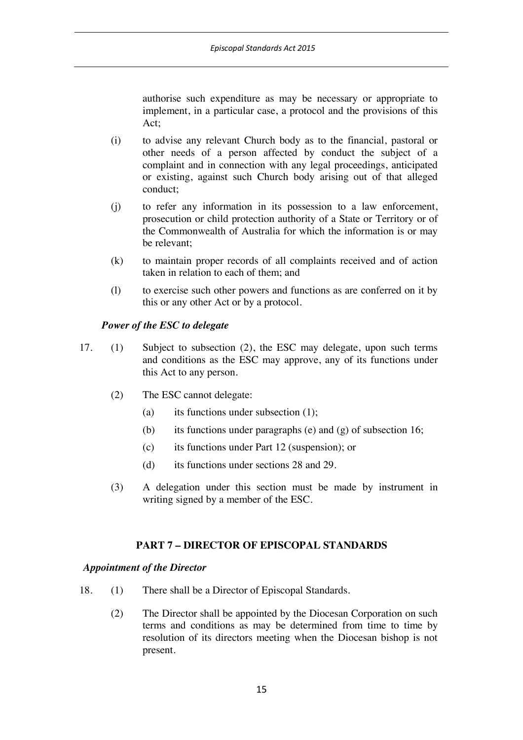authorise such expenditure as may be necessary or appropriate to implement, in a particular case, a protocol and the provisions of this Act;

- (i) to advise any relevant Church body as to the financial, pastoral or other needs of a person affected by conduct the subject of a complaint and in connection with any legal proceedings, anticipated or existing, against such Church body arising out of that alleged conduct;
- (j) to refer any information in its possession to a law enforcement, prosecution or child protection authority of a State or Territory or of the Commonwealth of Australia for which the information is or may be relevant;
- (k) to maintain proper records of all complaints received and of action taken in relation to each of them; and
- (l) to exercise such other powers and functions as are conferred on it by this or any other Act or by a protocol.

## *Power of the ESC to delegate*

- 17. (1) Subject to subsection (2), the ESC may delegate, upon such terms and conditions as the ESC may approve, any of its functions under this Act to any person.
	- (2) The ESC cannot delegate:
		- (a) its functions under subsection  $(1)$ ;
		- (b) its functions under paragraphs (e) and (g) of subsection 16;
		- (c) its functions under Part 12 (suspension); or
		- (d) its functions under sections 28 and 29.
	- (3) A delegation under this section must be made by instrument in writing signed by a member of the ESC.

# **PART 7 – DIRECTOR OF EPISCOPAL STANDARDS**

### *Appointment of the Director*

- 18. (1) There shall be a Director of Episcopal Standards.
	- (2) The Director shall be appointed by the Diocesan Corporation on such terms and conditions as may be determined from time to time by resolution of its directors meeting when the Diocesan bishop is not present.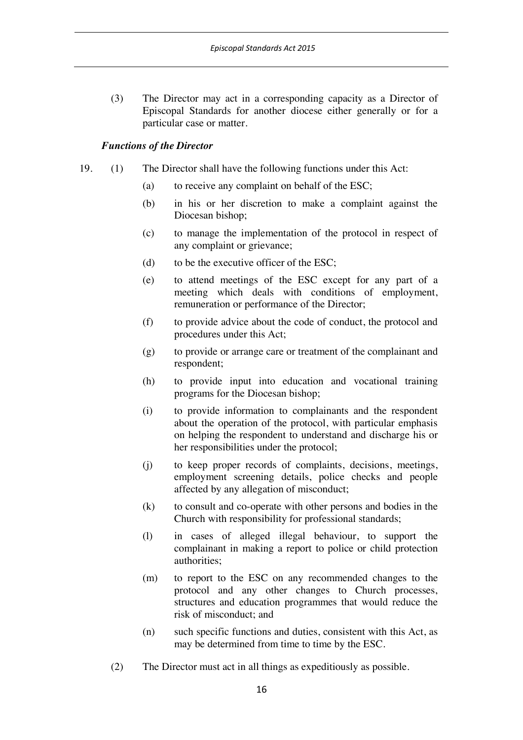(3) The Director may act in a corresponding capacity as a Director of Episcopal Standards for another diocese either generally or for a particular case or matter.

### *Functions of the Director*

- 19. (1) The Director shall have the following functions under this Act:
	- (a) to receive any complaint on behalf of the ESC;
	- (b) in his or her discretion to make a complaint against the Diocesan bishop;
	- (c) to manage the implementation of the protocol in respect of any complaint or grievance;
	- (d) to be the executive officer of the ESC;
	- (e) to attend meetings of the ESC except for any part of a meeting which deals with conditions of employment, remuneration or performance of the Director;
	- (f) to provide advice about the code of conduct, the protocol and procedures under this Act;
	- (g) to provide or arrange care or treatment of the complainant and respondent;
	- (h) to provide input into education and vocational training programs for the Diocesan bishop;
	- (i) to provide information to complainants and the respondent about the operation of the protocol, with particular emphasis on helping the respondent to understand and discharge his or her responsibilities under the protocol;
	- (j) to keep proper records of complaints, decisions, meetings, employment screening details, police checks and people affected by any allegation of misconduct;
	- (k) to consult and co-operate with other persons and bodies in the Church with responsibility for professional standards;
	- (l) in cases of alleged illegal behaviour, to support the complainant in making a report to police or child protection authorities;
	- (m) to report to the ESC on any recommended changes to the protocol and any other changes to Church processes, structures and education programmes that would reduce the risk of misconduct; and
	- (n) such specific functions and duties, consistent with this Act, as may be determined from time to time by the ESC.
	- (2) The Director must act in all things as expeditiously as possible.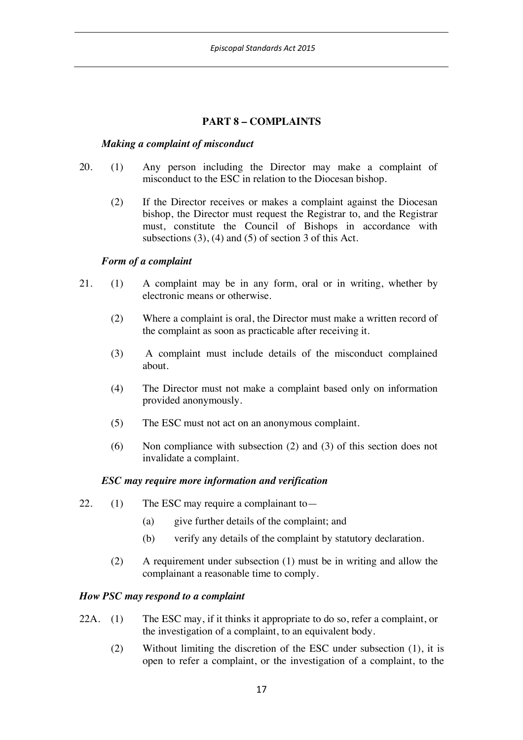## **PART 8 – COMPLAINTS**

### *Making a complaint of misconduct*

- 20. (1) Any person including the Director may make a complaint of misconduct to the ESC in relation to the Diocesan bishop.
	- (2) If the Director receives or makes a complaint against the Diocesan bishop, the Director must request the Registrar to, and the Registrar must, constitute the Council of Bishops in accordance with subsections (3), (4) and (5) of section 3 of this Act.

### *Form of a complaint*

- 21. (1) A complaint may be in any form, oral or in writing, whether by electronic means or otherwise.
	- (2) Where a complaint is oral, the Director must make a written record of the complaint as soon as practicable after receiving it.
	- (3) A complaint must include details of the misconduct complained about.
	- (4) The Director must not make a complaint based only on information provided anonymously.
	- (5) The ESC must not act on an anonymous complaint.
	- (6) Non compliance with subsection (2) and (3) of this section does not invalidate a complaint.

### *ESC may require more information and verification*

- 22. (1) The ESC may require a complainant to  $-$ 
	- (a) give further details of the complaint; and
	- (b) verify any details of the complaint by statutory declaration.
	- (2) A requirement under subsection (1) must be in writing and allow the complainant a reasonable time to comply.

### *How PSC may respond to a complaint*

- 22A. (1) The ESC may, if it thinks it appropriate to do so, refer a complaint, or the investigation of a complaint, to an equivalent body.
	- (2) Without limiting the discretion of the ESC under subsection (1), it is open to refer a complaint, or the investigation of a complaint, to the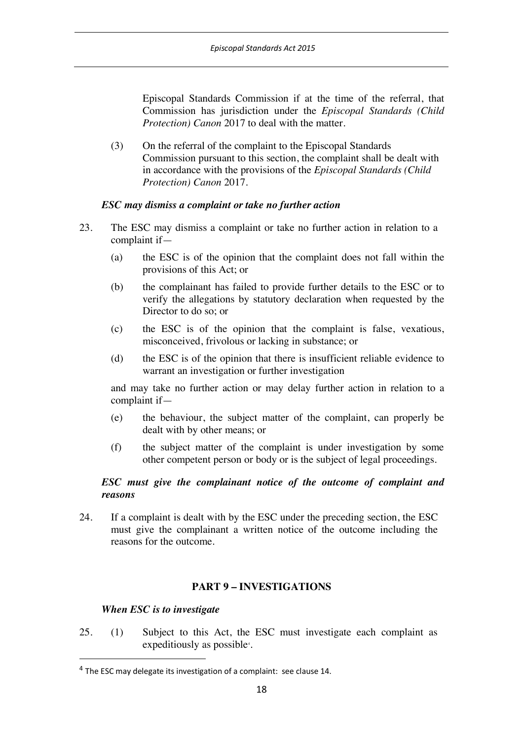Episcopal Standards Commission if at the time of the referral, that Commission has jurisdiction under the *Episcopal Standards (Child Protection) Canon* 2017 to deal with the matter.

(3) On the referral of the complaint to the Episcopal Standards Commission pursuant to this section, the complaint shall be dealt with in accordance with the provisions of the *Episcopal Standards (Child Protection) Canon* 2017.

## *ESC may dismiss a complaint or take no further action*

- 23. The ESC may dismiss a complaint or take no further action in relation to a complaint if—
	- (a) the ESC is of the opinion that the complaint does not fall within the provisions of this Act; or
	- (b) the complainant has failed to provide further details to the ESC or to verify the allegations by statutory declaration when requested by the Director to do so; or
	- (c) the ESC is of the opinion that the complaint is false, vexatious, misconceived, frivolous or lacking in substance; or
	- (d) the ESC is of the opinion that there is insufficient reliable evidence to warrant an investigation or further investigation

and may take no further action or may delay further action in relation to a complaint if—

- (e) the behaviour, the subject matter of the complaint, can properly be dealt with by other means; or
- (f) the subject matter of the complaint is under investigation by some other competent person or body or is the subject of legal proceedings.

## *ESC must give the complainant notice of the outcome of complaint and reasons*

24. If a complaint is dealt with by the ESC under the preceding section, the ESC must give the complainant a written notice of the outcome including the reasons for the outcome.

# **PART 9 – INVESTIGATIONS**

### *When ESC is to investigate*

25. (1) Subject to this Act, the ESC must investigate each complaint as expeditiously as possible<sup>4</sup>.

 <sup>4</sup> The ESC may delegate its investigation of a complaint: see clause 14.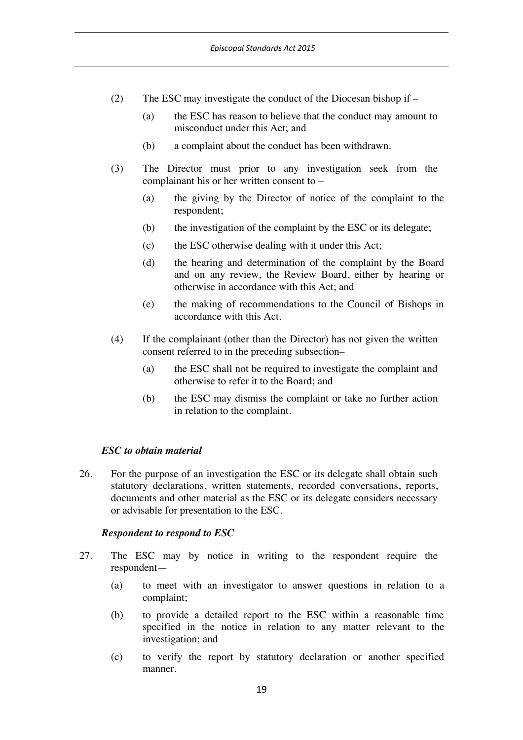- (2) The ESC may investigate the conduct of the Diocesan bishop if
	- (a) the ESC has reason to believe that the conduct may amount to misconduct under this Act; and
	- (b) a complaint about the conduct has been withdrawn.
- (3) The Director must prior to any investigation seek from the complainant his or her written consent to –
	- (a) the giving by the Director of notice of the complaint to the respondent;
	- (b) the investigation of the complaint by the ESC or its delegate;
	- (c) the ESC otherwise dealing with it under this Act;
	- (d) the hearing and determination of the complaint by the Board and on any review, the Review Board, either by hearing or otherwise in accordance with this Act; and
	- (e) the making of recommendations to the Council of Bishops in accordance with this Act.
- (4) If the complainant (other than the Director) has not given the written consent referred to in the preceding subsection–
	- (a) the ESC shall not be required to investigate the complaint and otherwise to refer it to the Board; and
	- (b) the ESC may dismiss the complaint or take no further action in relation to the complaint.

### *ESC to obtain material*

26. For the purpose of an investigation the ESC or its delegate shall obtain such statutory declarations, written statements, recorded conversations, reports, documents and other material as the ESC or its delegate considers necessary or advisable for presentation to the ESC.

#### *Respondent to respond to ESC*

- 27. The ESC may by notice in writing to the respondent require the respondent—
	- (a) to meet with an investigator to answer questions in relation to a complaint;
	- (b) to provide a detailed report to the ESC within a reasonable time specified in the notice in relation to any matter relevant to the investigation; and
	- (c) to verify the report by statutory declaration or another specified manner.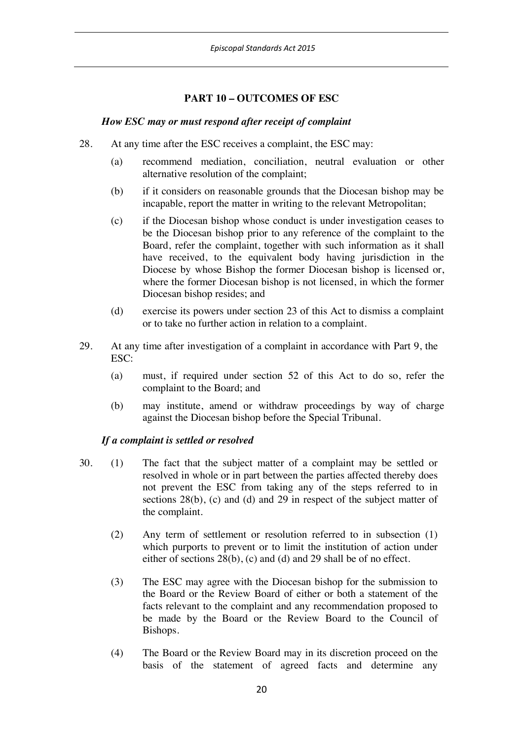# **PART 10 – OUTCOMES OF ESC**

### *How ESC may or must respond after receipt of complaint*

- 28. At any time after the ESC receives a complaint, the ESC may:
	- (a) recommend mediation, conciliation, neutral evaluation or other alternative resolution of the complaint;
	- (b) if it considers on reasonable grounds that the Diocesan bishop may be incapable, report the matter in writing to the relevant Metropolitan;
	- (c) if the Diocesan bishop whose conduct is under investigation ceases to be the Diocesan bishop prior to any reference of the complaint to the Board, refer the complaint, together with such information as it shall have received, to the equivalent body having jurisdiction in the Diocese by whose Bishop the former Diocesan bishop is licensed or, where the former Diocesan bishop is not licensed, in which the former Diocesan bishop resides; and
	- (d) exercise its powers under section 23 of this Act to dismiss a complaint or to take no further action in relation to a complaint.
- 29. At any time after investigation of a complaint in accordance with Part 9, the ESC:
	- (a) must, if required under section 52 of this Act to do so, refer the complaint to the Board; and
	- (b) may institute, amend or withdraw proceedings by way of charge against the Diocesan bishop before the Special Tribunal.

### *If a complaint is settled or resolved*

- 30. (1) The fact that the subject matter of a complaint may be settled or resolved in whole or in part between the parties affected thereby does not prevent the ESC from taking any of the steps referred to in sections 28(b), (c) and (d) and 29 in respect of the subject matter of the complaint.
	- (2) Any term of settlement or resolution referred to in subsection (1) which purports to prevent or to limit the institution of action under either of sections 28(b), (c) and (d) and 29 shall be of no effect.
	- (3) The ESC may agree with the Diocesan bishop for the submission to the Board or the Review Board of either or both a statement of the facts relevant to the complaint and any recommendation proposed to be made by the Board or the Review Board to the Council of Bishops.
	- (4) The Board or the Review Board may in its discretion proceed on the basis of the statement of agreed facts and determine any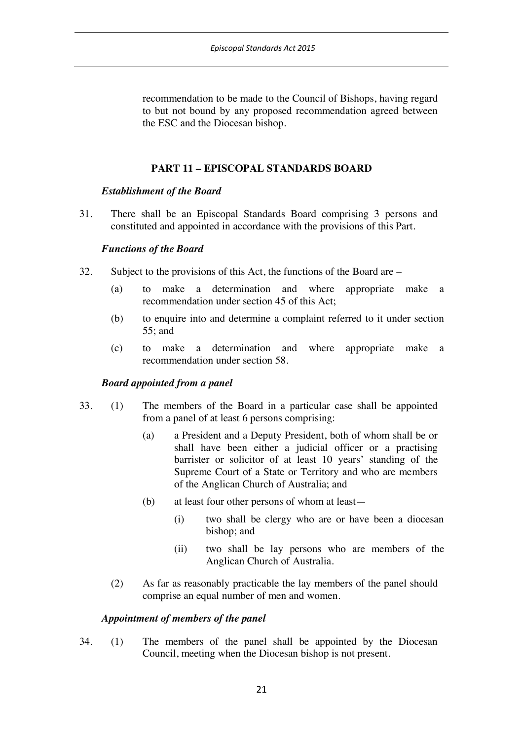recommendation to be made to the Council of Bishops, having regard to but not bound by any proposed recommendation agreed between the ESC and the Diocesan bishop.

# **PART 11 – EPISCOPAL STANDARDS BOARD**

### *Establishment of the Board*

31. There shall be an Episcopal Standards Board comprising 3 persons and constituted and appointed in accordance with the provisions of this Part.

### *Functions of the Board*

- 32. Subject to the provisions of this Act, the functions of the Board are
	- (a) to make a determination and where appropriate make a recommendation under section 45 of this Act;
	- (b) to enquire into and determine a complaint referred to it under section 55; and
	- (c) to make a determination and where appropriate make a recommendation under section 58.

### *Board appointed from a panel*

- 33. (1) The members of the Board in a particular case shall be appointed from a panel of at least 6 persons comprising:
	- (a) a President and a Deputy President, both of whom shall be or shall have been either a judicial officer or a practising barrister or solicitor of at least 10 years' standing of the Supreme Court of a State or Territory and who are members of the Anglican Church of Australia; and
	- (b) at least four other persons of whom at least—
		- (i) two shall be clergy who are or have been a diocesan bishop; and
		- (ii) two shall be lay persons who are members of the Anglican Church of Australia.
	- (2) As far as reasonably practicable the lay members of the panel should comprise an equal number of men and women.

### *Appointment of members of the panel*

34. (1) The members of the panel shall be appointed by the Diocesan Council, meeting when the Diocesan bishop is not present.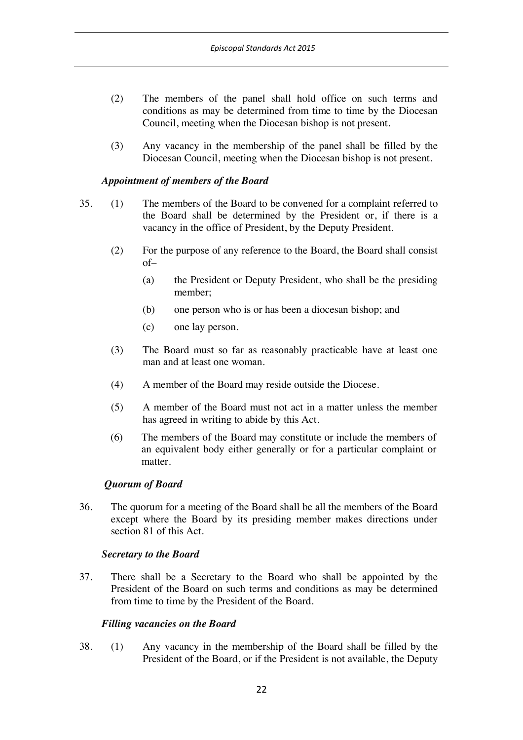- (2) The members of the panel shall hold office on such terms and conditions as may be determined from time to time by the Diocesan Council, meeting when the Diocesan bishop is not present.
- (3) Any vacancy in the membership of the panel shall be filled by the Diocesan Council, meeting when the Diocesan bishop is not present.

### *Appointment of members of the Board*

- 35. (1) The members of the Board to be convened for a complaint referred to the Board shall be determined by the President or, if there is a vacancy in the office of President, by the Deputy President.
	- (2) For the purpose of any reference to the Board, the Board shall consist of–
		- (a) the President or Deputy President, who shall be the presiding member;
		- (b) one person who is or has been a diocesan bishop; and
		- (c) one lay person.
	- (3) The Board must so far as reasonably practicable have at least one man and at least one woman.
	- (4) A member of the Board may reside outside the Diocese.
	- (5) A member of the Board must not act in a matter unless the member has agreed in writing to abide by this Act.
	- (6) The members of the Board may constitute or include the members of an equivalent body either generally or for a particular complaint or matter.

#### *Quorum of Board*

36. The quorum for a meeting of the Board shall be all the members of the Board except where the Board by its presiding member makes directions under section 81 of this Act.

#### *Secretary to the Board*

37. There shall be a Secretary to the Board who shall be appointed by the President of the Board on such terms and conditions as may be determined from time to time by the President of the Board.

#### *Filling vacancies on the Board*

38. (1) Any vacancy in the membership of the Board shall be filled by the President of the Board, or if the President is not available, the Deputy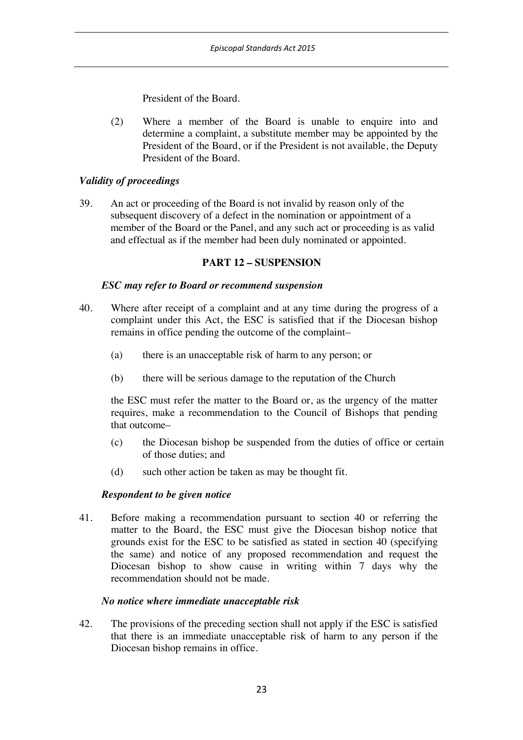President of the Board.

(2) Where a member of the Board is unable to enquire into and determine a complaint, a substitute member may be appointed by the President of the Board, or if the President is not available, the Deputy President of the Board.

# *Validity of proceedings*

39. An act or proceeding of the Board is not invalid by reason only of the subsequent discovery of a defect in the nomination or appointment of a member of the Board or the Panel, and any such act or proceeding is as valid and effectual as if the member had been duly nominated or appointed.

### **PART 12 – SUSPENSION**

### *ESC may refer to Board or recommend suspension*

- 40. Where after receipt of a complaint and at any time during the progress of a complaint under this Act, the ESC is satisfied that if the Diocesan bishop remains in office pending the outcome of the complaint–
	- (a) there is an unacceptable risk of harm to any person; or
	- (b) there will be serious damage to the reputation of the Church

the ESC must refer the matter to the Board or, as the urgency of the matter requires, make a recommendation to the Council of Bishops that pending that outcome–

- (c) the Diocesan bishop be suspended from the duties of office or certain of those duties; and
- (d) such other action be taken as may be thought fit.

### *Respondent to be given notice*

41. Before making a recommendation pursuant to section 40 or referring the matter to the Board, the ESC must give the Diocesan bishop notice that grounds exist for the ESC to be satisfied as stated in section 40 (specifying the same) and notice of any proposed recommendation and request the Diocesan bishop to show cause in writing within 7 days why the recommendation should not be made.

### *No notice where immediate unacceptable risk*

42. The provisions of the preceding section shall not apply if the ESC is satisfied that there is an immediate unacceptable risk of harm to any person if the Diocesan bishop remains in office.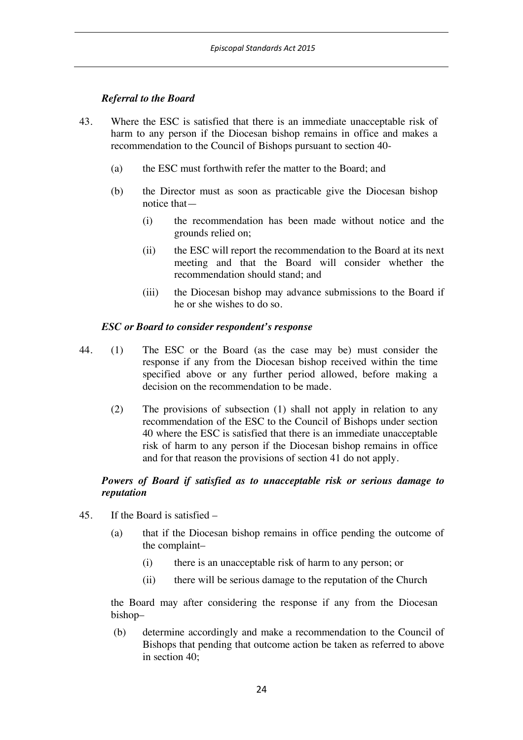# *Referral to the Board*

- 43. Where the ESC is satisfied that there is an immediate unacceptable risk of harm to any person if the Diocesan bishop remains in office and makes a recommendation to the Council of Bishops pursuant to section 40-
	- (a) the ESC must forthwith refer the matter to the Board; and
	- (b) the Director must as soon as practicable give the Diocesan bishop notice that—
		- (i) the recommendation has been made without notice and the grounds relied on;
		- (ii) the ESC will report the recommendation to the Board at its next meeting and that the Board will consider whether the recommendation should stand; and
		- (iii) the Diocesan bishop may advance submissions to the Board if he or she wishes to do so.

### *ESC or Board to consider respondent's response*

- 44. (1) The ESC or the Board (as the case may be) must consider the response if any from the Diocesan bishop received within the time specified above or any further period allowed, before making a decision on the recommendation to be made.
	- (2) The provisions of subsection (1) shall not apply in relation to any recommendation of the ESC to the Council of Bishops under section 40 where the ESC is satisfied that there is an immediate unacceptable risk of harm to any person if the Diocesan bishop remains in office and for that reason the provisions of section 41 do not apply.

## *Powers of Board if satisfied as to unacceptable risk or serious damage to reputation*

- 45. If the Board is satisfied
	- (a) that if the Diocesan bishop remains in office pending the outcome of the complaint–
		- (i) there is an unacceptable risk of harm to any person; or
		- (ii) there will be serious damage to the reputation of the Church

the Board may after considering the response if any from the Diocesan bishop–

(b) determine accordingly and make a recommendation to the Council of Bishops that pending that outcome action be taken as referred to above in section 40;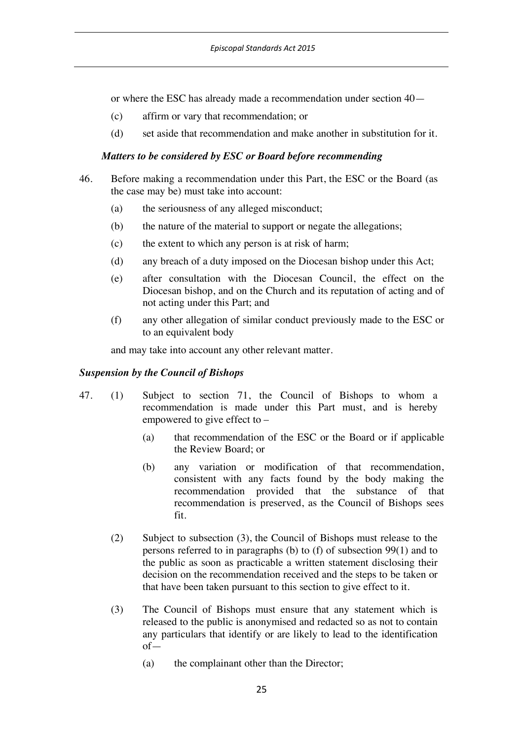or where the ESC has already made a recommendation under section 40—

- (c) affirm or vary that recommendation; or
- (d) set aside that recommendation and make another in substitution for it.

#### *Matters to be considered by ESC or Board before recommending*

- 46. Before making a recommendation under this Part, the ESC or the Board (as the case may be) must take into account:
	- (a) the seriousness of any alleged misconduct;
	- (b) the nature of the material to support or negate the allegations;
	- (c) the extent to which any person is at risk of harm;
	- (d) any breach of a duty imposed on the Diocesan bishop under this Act;
	- (e) after consultation with the Diocesan Council, the effect on the Diocesan bishop, and on the Church and its reputation of acting and of not acting under this Part; and
	- (f) any other allegation of similar conduct previously made to the ESC or to an equivalent body

and may take into account any other relevant matter.

#### *Suspension by the Council of Bishops*

- 47. (1) Subject to section 71, the Council of Bishops to whom a recommendation is made under this Part must, and is hereby empowered to give effect to  $-$ 
	- (a) that recommendation of the ESC or the Board or if applicable the Review Board; or
	- (b) any variation or modification of that recommendation, consistent with any facts found by the body making the recommendation provided that the substance of that recommendation is preserved, as the Council of Bishops sees fit.
	- (2) Subject to subsection (3), the Council of Bishops must release to the persons referred to in paragraphs (b) to (f) of subsection 99(1) and to the public as soon as practicable a written statement disclosing their decision on the recommendation received and the steps to be taken or that have been taken pursuant to this section to give effect to it.
	- (3) The Council of Bishops must ensure that any statement which is released to the public is anonymised and redacted so as not to contain any particulars that identify or are likely to lead to the identification of—
		- (a) the complainant other than the Director;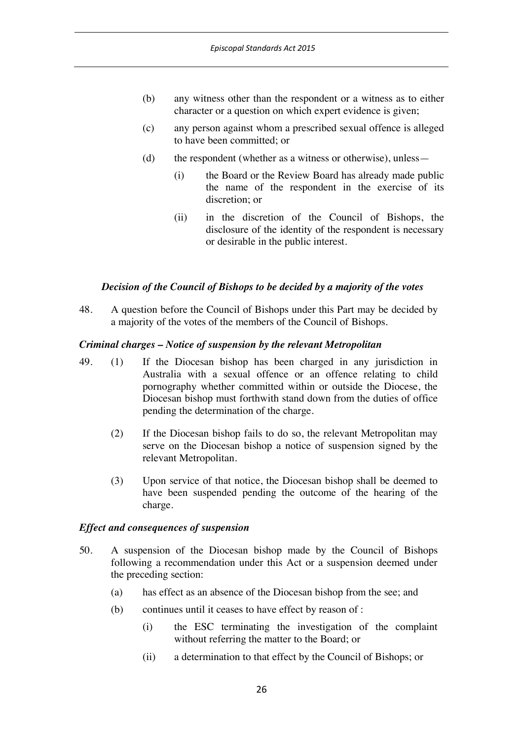- (b) any witness other than the respondent or a witness as to either character or a question on which expert evidence is given;
- (c) any person against whom a prescribed sexual offence is alleged to have been committed; or
- (d) the respondent (whether as a witness or otherwise), unless—
	- (i) the Board or the Review Board has already made public the name of the respondent in the exercise of its discretion; or
	- (ii) in the discretion of the Council of Bishops, the disclosure of the identity of the respondent is necessary or desirable in the public interest.

### *Decision of the Council of Bishops to be decided by a majority of the votes*

48. A question before the Council of Bishops under this Part may be decided by a majority of the votes of the members of the Council of Bishops.

#### *Criminal charges – Notice of suspension by the relevant Metropolitan*

- 49. (1) If the Diocesan bishop has been charged in any jurisdiction in Australia with a sexual offence or an offence relating to child pornography whether committed within or outside the Diocese, the Diocesan bishop must forthwith stand down from the duties of office pending the determination of the charge.
	- (2) If the Diocesan bishop fails to do so, the relevant Metropolitan may serve on the Diocesan bishop a notice of suspension signed by the relevant Metropolitan.
	- (3) Upon service of that notice, the Diocesan bishop shall be deemed to have been suspended pending the outcome of the hearing of the charge.

#### *Effect and consequences of suspension*

- 50. A suspension of the Diocesan bishop made by the Council of Bishops following a recommendation under this Act or a suspension deemed under the preceding section:
	- (a) has effect as an absence of the Diocesan bishop from the see; and
	- (b) continues until it ceases to have effect by reason of :
		- (i) the ESC terminating the investigation of the complaint without referring the matter to the Board; or
		- (ii) a determination to that effect by the Council of Bishops; or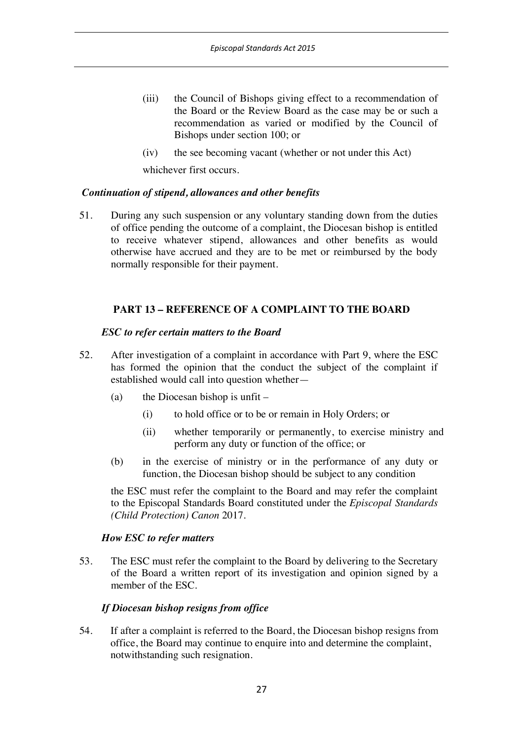- (iii) the Council of Bishops giving effect to a recommendation of the Board or the Review Board as the case may be or such a recommendation as varied or modified by the Council of Bishops under section 100; or
- (iv) the see becoming vacant (whether or not under this Act)

whichever first occurs.

## *Continuation of stipend, allowances and other benefits*

51. During any such suspension or any voluntary standing down from the duties of office pending the outcome of a complaint, the Diocesan bishop is entitled to receive whatever stipend, allowances and other benefits as would otherwise have accrued and they are to be met or reimbursed by the body normally responsible for their payment.

# **PART 13 – REFERENCE OF A COMPLAINT TO THE BOARD**

### *ESC to refer certain matters to the Board*

- 52. After investigation of a complaint in accordance with Part 9, where the ESC has formed the opinion that the conduct the subject of the complaint if established would call into question whether—
	- (a) the Diocesan bishop is unfit
		- (i) to hold office or to be or remain in Holy Orders; or
		- (ii) whether temporarily or permanently, to exercise ministry and perform any duty or function of the office; or
	- (b) in the exercise of ministry or in the performance of any duty or function, the Diocesan bishop should be subject to any condition

the ESC must refer the complaint to the Board and may refer the complaint to the Episcopal Standards Board constituted under the *Episcopal Standards (Child Protection) Canon* 2017.

### *How ESC to refer matters*

53. The ESC must refer the complaint to the Board by delivering to the Secretary of the Board a written report of its investigation and opinion signed by a member of the ESC.

# *If Diocesan bishop resigns from office*

54. If after a complaint is referred to the Board, the Diocesan bishop resigns from office, the Board may continue to enquire into and determine the complaint, notwithstanding such resignation.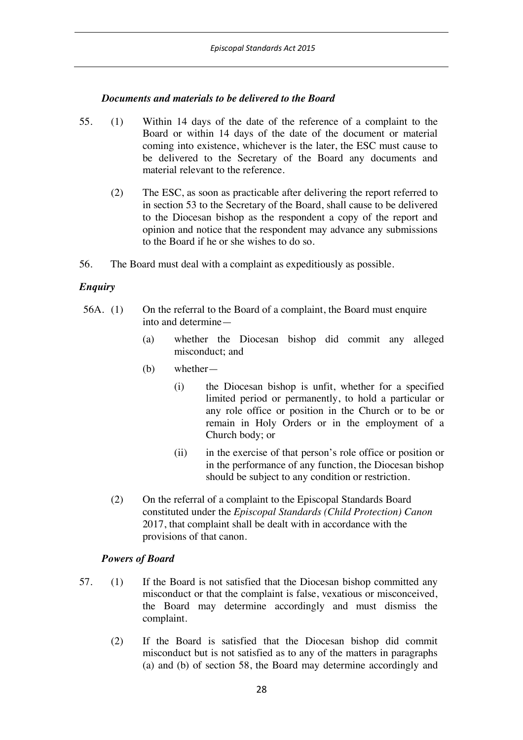### *Documents and materials to be delivered to the Board*

- 55. (1) Within 14 days of the date of the reference of a complaint to the Board or within 14 days of the date of the document or material coming into existence, whichever is the later, the ESC must cause to be delivered to the Secretary of the Board any documents and material relevant to the reference.
	- (2) The ESC, as soon as practicable after delivering the report referred to in section 53 to the Secretary of the Board, shall cause to be delivered to the Diocesan bishop as the respondent a copy of the report and opinion and notice that the respondent may advance any submissions to the Board if he or she wishes to do so.
- 56. The Board must deal with a complaint as expeditiously as possible.

## *Enquiry*

- 56A. (1) On the referral to the Board of a complaint, the Board must enquire into and determine—
	- (a) whether the Diocesan bishop did commit any alleged misconduct; and
	- (b) whether—
		- (i) the Diocesan bishop is unfit, whether for a specified limited period or permanently, to hold a particular or any role office or position in the Church or to be or remain in Holy Orders or in the employment of a Church body; or
		- (ii) in the exercise of that person's role office or position or in the performance of any function, the Diocesan bishop should be subject to any condition or restriction.
	- (2) On the referral of a complaint to the Episcopal Standards Board constituted under the *Episcopal Standards (Child Protection) Canon* 2017, that complaint shall be dealt with in accordance with the provisions of that canon.

### *Powers of Board*

- 57. (1) If the Board is not satisfied that the Diocesan bishop committed any misconduct or that the complaint is false, vexatious or misconceived, the Board may determine accordingly and must dismiss the complaint.
	- (2) If the Board is satisfied that the Diocesan bishop did commit misconduct but is not satisfied as to any of the matters in paragraphs (a) and (b) of section 58, the Board may determine accordingly and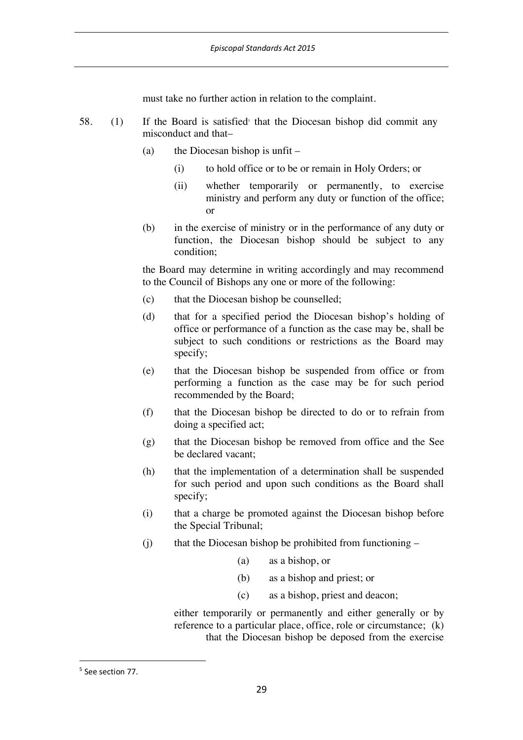must take no further action in relation to the complaint.

- 58. (1) If the Board is satisfied that the Diocesan bishop did commit any misconduct and that–
	- (a) the Diocesan bishop is unfit  $-$ 
		- (i) to hold office or to be or remain in Holy Orders; or
		- (ii) whether temporarily or permanently, to exercise ministry and perform any duty or function of the office; or
	- (b) in the exercise of ministry or in the performance of any duty or function, the Diocesan bishop should be subject to any condition;

the Board may determine in writing accordingly and may recommend to the Council of Bishops any one or more of the following:

- (c) that the Diocesan bishop be counselled;
- (d) that for a specified period the Diocesan bishop's holding of office or performance of a function as the case may be, shall be subject to such conditions or restrictions as the Board may specify;
- (e) that the Diocesan bishop be suspended from office or from performing a function as the case may be for such period recommended by the Board;
- (f) that the Diocesan bishop be directed to do or to refrain from doing a specified act;
- (g) that the Diocesan bishop be removed from office and the See be declared vacant;
- (h) that the implementation of a determination shall be suspended for such period and upon such conditions as the Board shall specify;
- (i) that a charge be promoted against the Diocesan bishop before the Special Tribunal;
- $(i)$  that the Diocesan bishop be prohibited from functioning
	- (a) as a bishop, or
	- (b) as a bishop and priest; or
	- (c) as a bishop, priest and deacon;

 either temporarily or permanently and either generally or by reference to a particular place, office, role or circumstance; (k) that the Diocesan bishop be deposed from the exercise

 <sup>5</sup> See section 77.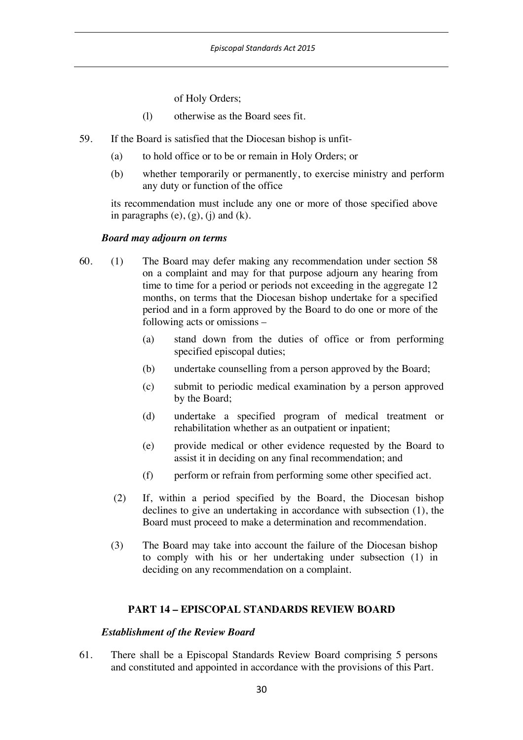of Holy Orders;

- (l) otherwise as the Board sees fit.
- 59. If the Board is satisfied that the Diocesan bishop is unfit-
	- (a) to hold office or to be or remain in Holy Orders; or
	- (b) whether temporarily or permanently, to exercise ministry and perform any duty or function of the office

its recommendation must include any one or more of those specified above in paragraphs  $(e)$ ,  $(g)$ ,  $(i)$  and  $(k)$ .

#### *Board may adjourn on terms*

- 60. (1) The Board may defer making any recommendation under section 58 on a complaint and may for that purpose adjourn any hearing from time to time for a period or periods not exceeding in the aggregate 12 months, on terms that the Diocesan bishop undertake for a specified period and in a form approved by the Board to do one or more of the following acts or omissions –
	- (a) stand down from the duties of office or from performing specified episcopal duties;
	- (b) undertake counselling from a person approved by the Board;
	- (c) submit to periodic medical examination by a person approved by the Board;
	- (d) undertake a specified program of medical treatment or rehabilitation whether as an outpatient or inpatient;
	- (e) provide medical or other evidence requested by the Board to assist it in deciding on any final recommendation; and
	- (f) perform or refrain from performing some other specified act.
	- (2) If, within a period specified by the Board, the Diocesan bishop declines to give an undertaking in accordance with subsection (1), the Board must proceed to make a determination and recommendation.
	- (3) The Board may take into account the failure of the Diocesan bishop to comply with his or her undertaking under subsection (1) in deciding on any recommendation on a complaint.

### **PART 14 – EPISCOPAL STANDARDS REVIEW BOARD**

#### *Establishment of the Review Board*

61. There shall be a Episcopal Standards Review Board comprising 5 persons and constituted and appointed in accordance with the provisions of this Part.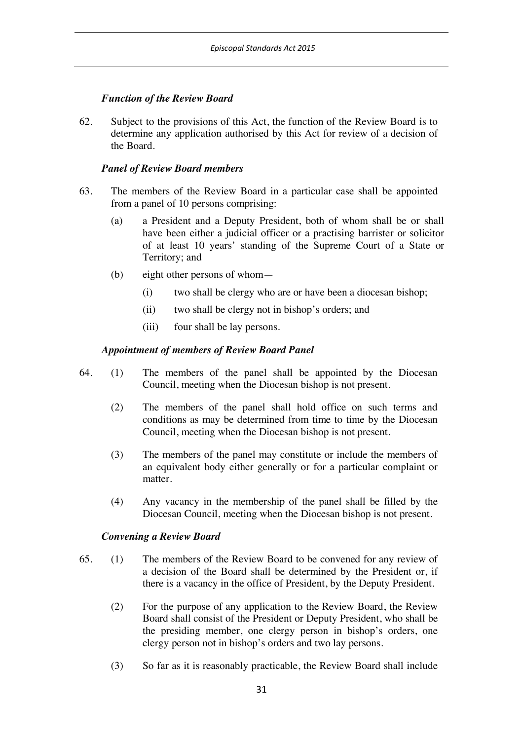## *Function of the Review Board*

62. Subject to the provisions of this Act, the function of the Review Board is to determine any application authorised by this Act for review of a decision of the Board.

### *Panel of Review Board members*

- 63. The members of the Review Board in a particular case shall be appointed from a panel of 10 persons comprising:
	- (a) a President and a Deputy President, both of whom shall be or shall have been either a judicial officer or a practising barrister or solicitor of at least 10 years' standing of the Supreme Court of a State or Territory; and
	- (b) eight other persons of whom—
		- (i) two shall be clergy who are or have been a diocesan bishop;
		- (ii) two shall be clergy not in bishop's orders; and
		- (iii) four shall be lay persons.

## *Appointment of members of Review Board Panel*

- 64. (1) The members of the panel shall be appointed by the Diocesan Council, meeting when the Diocesan bishop is not present.
	- (2) The members of the panel shall hold office on such terms and conditions as may be determined from time to time by the Diocesan Council, meeting when the Diocesan bishop is not present.
	- (3) The members of the panel may constitute or include the members of an equivalent body either generally or for a particular complaint or matter.
	- (4) Any vacancy in the membership of the panel shall be filled by the Diocesan Council, meeting when the Diocesan bishop is not present.

### *Convening a Review Board*

- 65. (1) The members of the Review Board to be convened for any review of a decision of the Board shall be determined by the President or, if there is a vacancy in the office of President, by the Deputy President.
	- (2) For the purpose of any application to the Review Board, the Review Board shall consist of the President or Deputy President, who shall be the presiding member, one clergy person in bishop's orders, one clergy person not in bishop's orders and two lay persons.
	- (3) So far as it is reasonably practicable, the Review Board shall include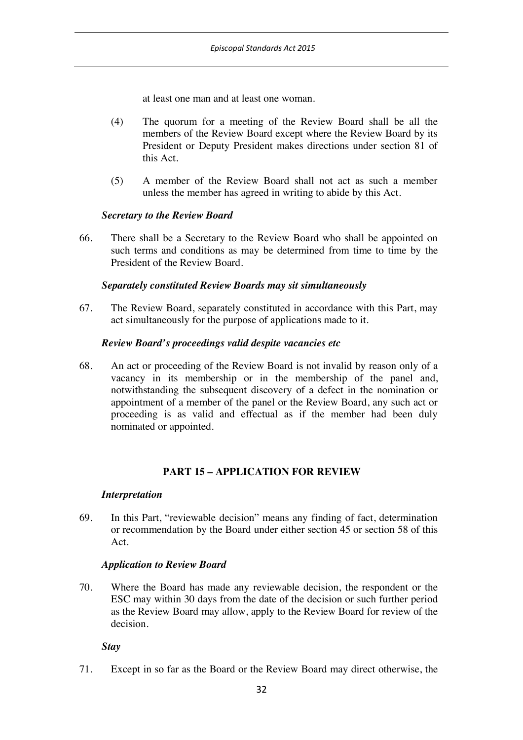at least one man and at least one woman.

- (4) The quorum for a meeting of the Review Board shall be all the members of the Review Board except where the Review Board by its President or Deputy President makes directions under section 81 of this Act.
- (5) A member of the Review Board shall not act as such a member unless the member has agreed in writing to abide by this Act.

### *Secretary to the Review Board*

66. There shall be a Secretary to the Review Board who shall be appointed on such terms and conditions as may be determined from time to time by the President of the Review Board.

### *Separately constituted Review Boards may sit simultaneously*

67. The Review Board, separately constituted in accordance with this Part, may act simultaneously for the purpose of applications made to it.

#### *Review Board's proceedings valid despite vacancies etc*

68. An act or proceeding of the Review Board is not invalid by reason only of a vacancy in its membership or in the membership of the panel and, notwithstanding the subsequent discovery of a defect in the nomination or appointment of a member of the panel or the Review Board, any such act or proceeding is as valid and effectual as if the member had been duly nominated or appointed.

### **PART 15 – APPLICATION FOR REVIEW**

#### *Interpretation*

69. In this Part, "reviewable decision" means any finding of fact, determination or recommendation by the Board under either section 45 or section 58 of this Act.

### *Application to Review Board*

70. Where the Board has made any reviewable decision, the respondent or the ESC may within 30 days from the date of the decision or such further period as the Review Board may allow, apply to the Review Board for review of the decision.

*Stay*

71. Except in so far as the Board or the Review Board may direct otherwise, the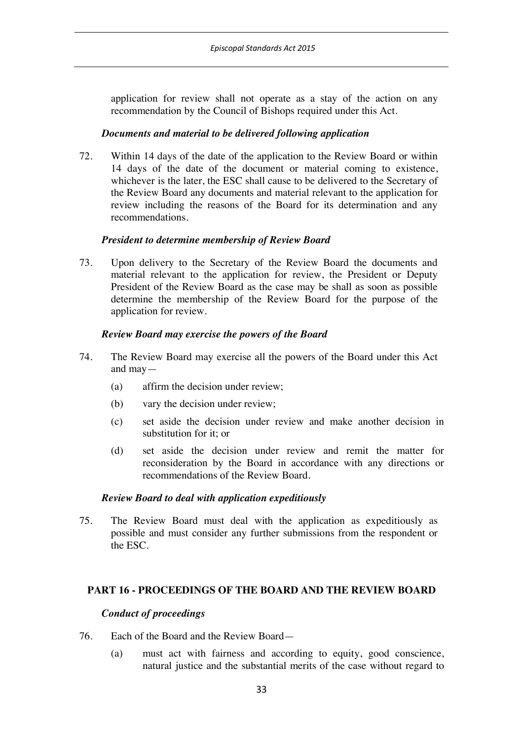application for review shall not operate as a stay of the action on any recommendation by the Council of Bishops required under this Act.

### *Documents and material to be delivered following application*

72. Within 14 days of the date of the application to the Review Board or within 14 days of the date of the document or material coming to existence, whichever is the later, the ESC shall cause to be delivered to the Secretary of the Review Board any documents and material relevant to the application for review including the reasons of the Board for its determination and any recommendations.

## *President to determine membership of Review Board*

73. Upon delivery to the Secretary of the Review Board the documents and material relevant to the application for review, the President or Deputy President of the Review Board as the case may be shall as soon as possible determine the membership of the Review Board for the purpose of the application for review.

## *Review Board may exercise the powers of the Board*

- 74. The Review Board may exercise all the powers of the Board under this Act and may—
	- (a) affirm the decision under review;
	- (b) vary the decision under review;
	- (c) set aside the decision under review and make another decision in substitution for it; or
	- (d) set aside the decision under review and remit the matter for reconsideration by the Board in accordance with any directions or recommendations of the Review Board.

### *Review Board to deal with application expeditiously*

75. The Review Board must deal with the application as expeditiously as possible and must consider any further submissions from the respondent or the ESC.

### **PART 16 - PROCEEDINGS OF THE BOARD AND THE REVIEW BOARD**

### *Conduct of proceedings*

- 76. Each of the Board and the Review Board—
	- (a) must act with fairness and according to equity, good conscience, natural justice and the substantial merits of the case without regard to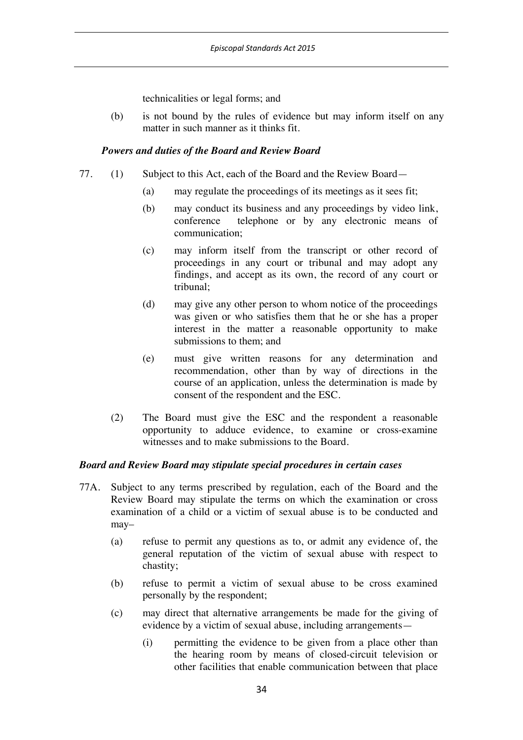technicalities or legal forms; and

(b) is not bound by the rules of evidence but may inform itself on any matter in such manner as it thinks fit.

### *Powers and duties of the Board and Review Board*

- 77. (1) Subject to this Act, each of the Board and the Review Board—
	- (a) may regulate the proceedings of its meetings as it sees fit;
	- (b) may conduct its business and any proceedings by video link, conference telephone or by any electronic means of communication;
	- (c) may inform itself from the transcript or other record of proceedings in any court or tribunal and may adopt any findings, and accept as its own, the record of any court or tribunal;
	- (d) may give any other person to whom notice of the proceedings was given or who satisfies them that he or she has a proper interest in the matter a reasonable opportunity to make submissions to them; and
	- (e) must give written reasons for any determination and recommendation, other than by way of directions in the course of an application, unless the determination is made by consent of the respondent and the ESC.
	- (2) The Board must give the ESC and the respondent a reasonable opportunity to adduce evidence, to examine or cross-examine witnesses and to make submissions to the Board.

### *Board and Review Board may stipulate special procedures in certain cases*

- 77A. Subject to any terms prescribed by regulation, each of the Board and the Review Board may stipulate the terms on which the examination or cross examination of a child or a victim of sexual abuse is to be conducted and may–
	- (a) refuse to permit any questions as to, or admit any evidence of, the general reputation of the victim of sexual abuse with respect to chastity;
	- (b) refuse to permit a victim of sexual abuse to be cross examined personally by the respondent;
	- (c) may direct that alternative arrangements be made for the giving of evidence by a victim of sexual abuse, including arrangements—
		- (i) permitting the evidence to be given from a place other than the hearing room by means of closed-circuit television or other facilities that enable communication between that place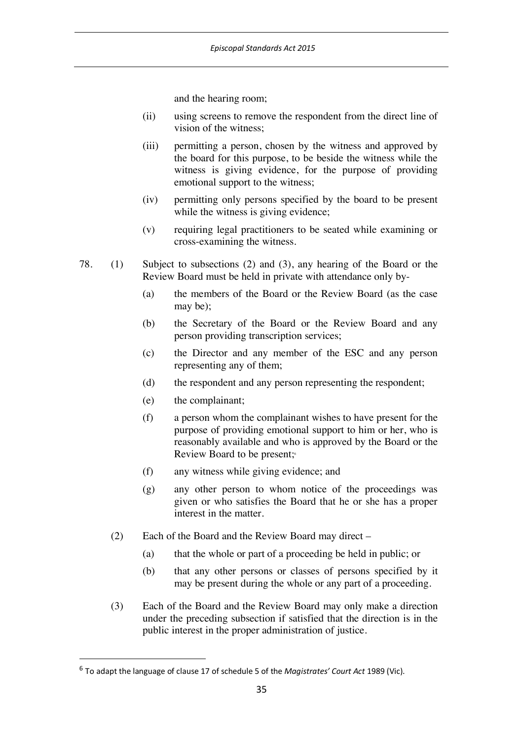and the hearing room;

- (ii) using screens to remove the respondent from the direct line of vision of the witness;
- (iii) permitting a person, chosen by the witness and approved by the board for this purpose, to be beside the witness while the witness is giving evidence, for the purpose of providing emotional support to the witness;
- (iv) permitting only persons specified by the board to be present while the witness is giving evidence;
- (v) requiring legal practitioners to be seated while examining or cross-examining the witness.
- 78. (1) Subject to subsections (2) and (3), any hearing of the Board or the Review Board must be held in private with attendance only by-
	- (a) the members of the Board or the Review Board (as the case may be);
	- (b) the Secretary of the Board or the Review Board and any person providing transcription services;
	- (c) the Director and any member of the ESC and any person representing any of them;
	- (d) the respondent and any person representing the respondent;
	- (e) the complainant;
	- (f) a person whom the complainant wishes to have present for the purpose of providing emotional support to him or her, who is reasonably available and who is approved by the Board or the Review Board to be present;<sup>6</sup>
	- (f) any witness while giving evidence; and
	- (g) any other person to whom notice of the proceedings was given or who satisfies the Board that he or she has a proper interest in the matter.
	- (2) Each of the Board and the Review Board may direct
		- (a) that the whole or part of a proceeding be held in public; or
		- (b) that any other persons or classes of persons specified by it may be present during the whole or any part of a proceeding.
	- (3) Each of the Board and the Review Board may only make a direction under the preceding subsection if satisfied that the direction is in the public interest in the proper administration of justice.

 <sup>6</sup> To adapt the language of clause 17 of schedule 5 of the *Magistrates' Court Act* <sup>1989</sup> (Vic).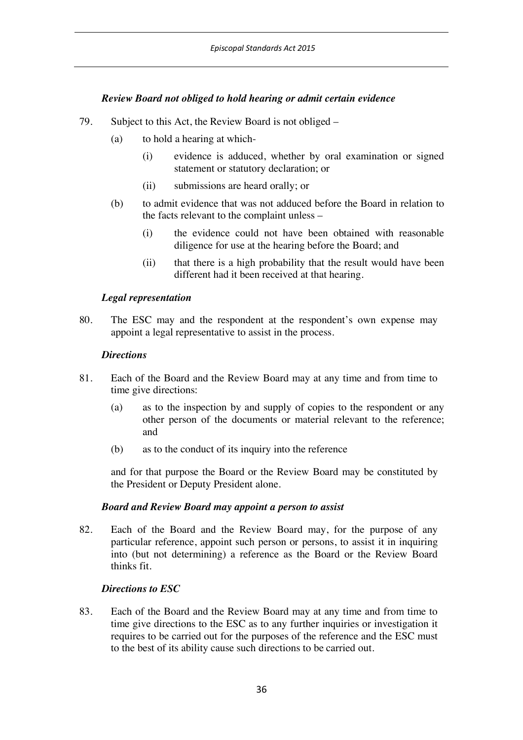## *Review Board not obliged to hold hearing or admit certain evidence*

- 79. Subject to this Act, the Review Board is not obliged
	- (a) to hold a hearing at which-
		- (i) evidence is adduced, whether by oral examination or signed statement or statutory declaration; or
		- (ii) submissions are heard orally; or
	- (b) to admit evidence that was not adduced before the Board in relation to the facts relevant to the complaint unless –
		- (i) the evidence could not have been obtained with reasonable diligence for use at the hearing before the Board; and
		- (ii) that there is a high probability that the result would have been different had it been received at that hearing.

### *Legal representation*

80. The ESC may and the respondent at the respondent's own expense may appoint a legal representative to assist in the process.

### *Directions*

- 81. Each of the Board and the Review Board may at any time and from time to time give directions:
	- (a) as to the inspection by and supply of copies to the respondent or any other person of the documents or material relevant to the reference; and
	- (b) as to the conduct of its inquiry into the reference

and for that purpose the Board or the Review Board may be constituted by the President or Deputy President alone.

### *Board and Review Board may appoint a person to assist*

82. Each of the Board and the Review Board may, for the purpose of any particular reference, appoint such person or persons, to assist it in inquiring into (but not determining) a reference as the Board or the Review Board thinks fit.

### *Directions to ESC*

83. Each of the Board and the Review Board may at any time and from time to time give directions to the ESC as to any further inquiries or investigation it requires to be carried out for the purposes of the reference and the ESC must to the best of its ability cause such directions to be carried out.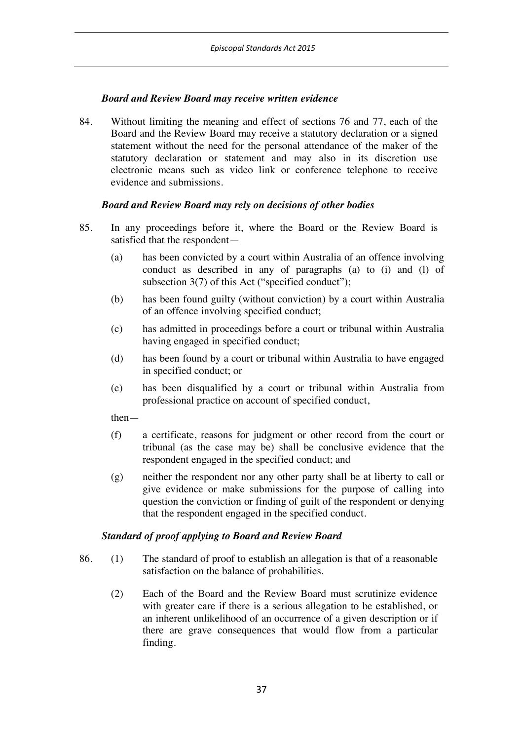## *Board and Review Board may receive written evidence*

84. Without limiting the meaning and effect of sections 76 and 77, each of the Board and the Review Board may receive a statutory declaration or a signed statement without the need for the personal attendance of the maker of the statutory declaration or statement and may also in its discretion use electronic means such as video link or conference telephone to receive evidence and submissions.

## *Board and Review Board may rely on decisions of other bodies*

- 85. In any proceedings before it, where the Board or the Review Board is satisfied that the respondent—
	- (a) has been convicted by a court within Australia of an offence involving conduct as described in any of paragraphs (a) to (i) and (l) of subsection 3(7) of this Act ("specified conduct");
	- (b) has been found guilty (without conviction) by a court within Australia of an offence involving specified conduct;
	- (c) has admitted in proceedings before a court or tribunal within Australia having engaged in specified conduct;
	- (d) has been found by a court or tribunal within Australia to have engaged in specified conduct; or
	- (e) has been disqualified by a court or tribunal within Australia from professional practice on account of specified conduct,

then—

- (f) a certificate, reasons for judgment or other record from the court or tribunal (as the case may be) shall be conclusive evidence that the respondent engaged in the specified conduct; and
- (g) neither the respondent nor any other party shall be at liberty to call or give evidence or make submissions for the purpose of calling into question the conviction or finding of guilt of the respondent or denying that the respondent engaged in the specified conduct.

### *Standard of proof applying to Board and Review Board*

- 86. (1) The standard of proof to establish an allegation is that of a reasonable satisfaction on the balance of probabilities.
	- (2) Each of the Board and the Review Board must scrutinize evidence with greater care if there is a serious allegation to be established, or an inherent unlikelihood of an occurrence of a given description or if there are grave consequences that would flow from a particular finding.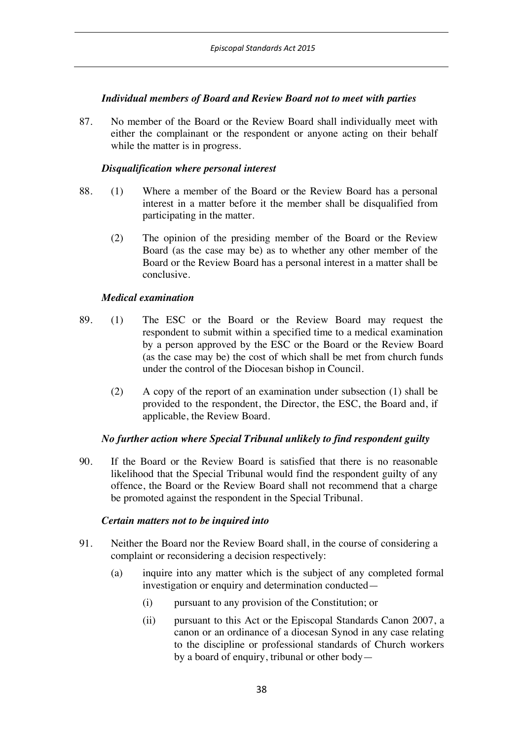## *Individual members of Board and Review Board not to meet with parties*

87. No member of the Board or the Review Board shall individually meet with either the complainant or the respondent or anyone acting on their behalf while the matter is in progress.

### *Disqualification where personal interest*

- 88. (1) Where a member of the Board or the Review Board has a personal interest in a matter before it the member shall be disqualified from participating in the matter.
	- (2) The opinion of the presiding member of the Board or the Review Board (as the case may be) as to whether any other member of the Board or the Review Board has a personal interest in a matter shall be conclusive.

## *Medical examination*

- 89. (1) The ESC or the Board or the Review Board may request the respondent to submit within a specified time to a medical examination by a person approved by the ESC or the Board or the Review Board (as the case may be) the cost of which shall be met from church funds under the control of the Diocesan bishop in Council.
	- (2) A copy of the report of an examination under subsection (1) shall be provided to the respondent, the Director, the ESC, the Board and, if applicable, the Review Board.

# *No further action where Special Tribunal unlikely to find respondent guilty*

90. If the Board or the Review Board is satisfied that there is no reasonable likelihood that the Special Tribunal would find the respondent guilty of any offence, the Board or the Review Board shall not recommend that a charge be promoted against the respondent in the Special Tribunal.

## *Certain matters not to be inquired into*

- 91. Neither the Board nor the Review Board shall, in the course of considering a complaint or reconsidering a decision respectively:
	- (a) inquire into any matter which is the subject of any completed formal investigation or enquiry and determination conducted—
		- (i) pursuant to any provision of the Constitution; or
		- (ii) pursuant to this Act or the Episcopal Standards Canon 2007, a canon or an ordinance of a diocesan Synod in any case relating to the discipline or professional standards of Church workers by a board of enquiry, tribunal or other body—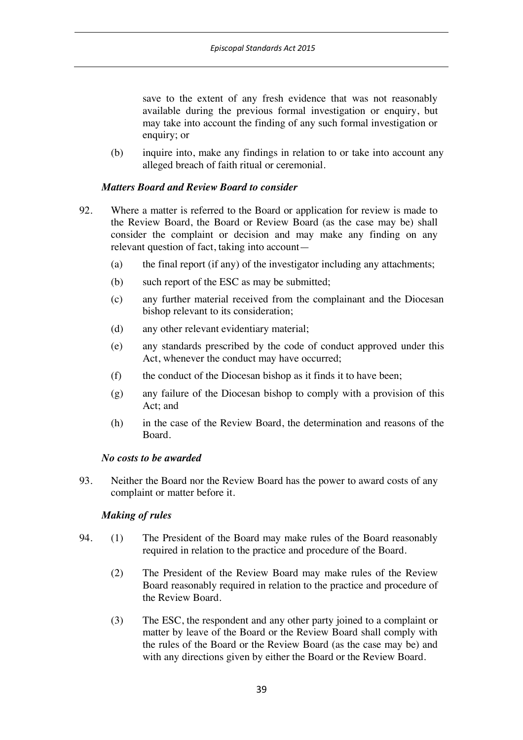save to the extent of any fresh evidence that was not reasonably available during the previous formal investigation or enquiry, but may take into account the finding of any such formal investigation or enquiry; or

(b) inquire into, make any findings in relation to or take into account any alleged breach of faith ritual or ceremonial.

## *Matters Board and Review Board to consider*

- 92. Where a matter is referred to the Board or application for review is made to the Review Board, the Board or Review Board (as the case may be) shall consider the complaint or decision and may make any finding on any relevant question of fact, taking into account—
	- (a) the final report (if any) of the investigator including any attachments;
	- (b) such report of the ESC as may be submitted;
	- (c) any further material received from the complainant and the Diocesan bishop relevant to its consideration;
	- (d) any other relevant evidentiary material;
	- (e) any standards prescribed by the code of conduct approved under this Act, whenever the conduct may have occurred;
	- (f) the conduct of the Diocesan bishop as it finds it to have been;
	- (g) any failure of the Diocesan bishop to comply with a provision of this Act; and
	- (h) in the case of the Review Board, the determination and reasons of the Board.

### *No costs to be awarded*

93. Neither the Board nor the Review Board has the power to award costs of any complaint or matter before it.

### *Making of rules*

- 94. (1) The President of the Board may make rules of the Board reasonably required in relation to the practice and procedure of the Board.
	- (2) The President of the Review Board may make rules of the Review Board reasonably required in relation to the practice and procedure of the Review Board.
	- (3) The ESC, the respondent and any other party joined to a complaint or matter by leave of the Board or the Review Board shall comply with the rules of the Board or the Review Board (as the case may be) and with any directions given by either the Board or the Review Board.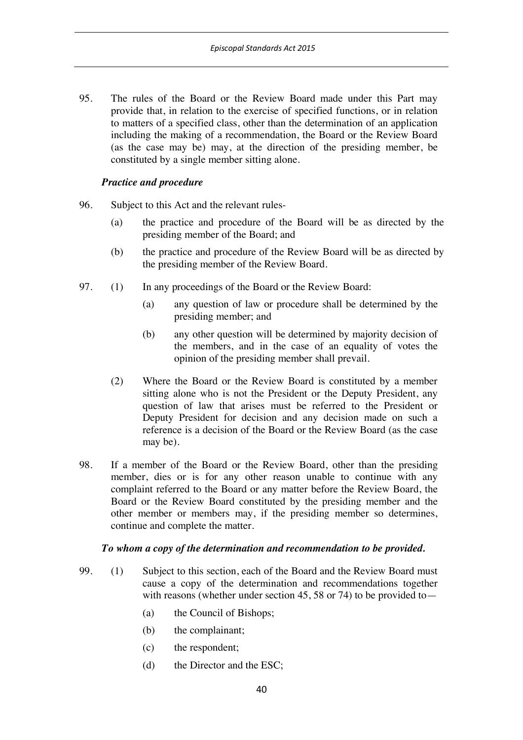95. The rules of the Board or the Review Board made under this Part may provide that, in relation to the exercise of specified functions, or in relation to matters of a specified class, other than the determination of an application including the making of a recommendation, the Board or the Review Board (as the case may be) may, at the direction of the presiding member, be constituted by a single member sitting alone.

## *Practice and procedure*

- 96. Subject to this Act and the relevant rules-
	- (a) the practice and procedure of the Board will be as directed by the presiding member of the Board; and
	- (b) the practice and procedure of the Review Board will be as directed by the presiding member of the Review Board.
- 97. (1) In any proceedings of the Board or the Review Board:
	- (a) any question of law or procedure shall be determined by the presiding member; and
	- (b) any other question will be determined by majority decision of the members, and in the case of an equality of votes the opinion of the presiding member shall prevail.
	- (2) Where the Board or the Review Board is constituted by a member sitting alone who is not the President or the Deputy President, any question of law that arises must be referred to the President or Deputy President for decision and any decision made on such a reference is a decision of the Board or the Review Board (as the case may be).
- 98. If a member of the Board or the Review Board, other than the presiding member, dies or is for any other reason unable to continue with any complaint referred to the Board or any matter before the Review Board, the Board or the Review Board constituted by the presiding member and the other member or members may, if the presiding member so determines, continue and complete the matter.

### *To whom a copy of the determination and recommendation to be provided.*

- 99. (1) Subject to this section, each of the Board and the Review Board must cause a copy of the determination and recommendations together with reasons (whether under section 45, 58 or 74) to be provided to  $-$ 
	- (a) the Council of Bishops;
	- (b) the complainant;
	- (c) the respondent;
	- (d) the Director and the ESC;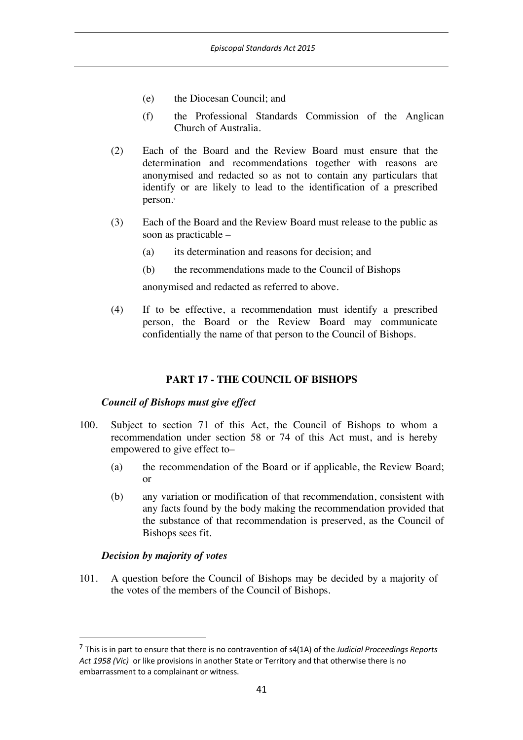- (e) the Diocesan Council; and
- (f) the Professional Standards Commission of the Anglican Church of Australia.
- (2) Each of the Board and the Review Board must ensure that the determination and recommendations together with reasons are anonymised and redacted so as not to contain any particulars that identify or are likely to lead to the identification of a prescribed person.7
- (3) Each of the Board and the Review Board must release to the public as soon as practicable –
	- (a) its determination and reasons for decision; and
	- (b) the recommendations made to the Council of Bishops

anonymised and redacted as referred to above.

(4) If to be effective, a recommendation must identify a prescribed person, the Board or the Review Board may communicate confidentially the name of that person to the Council of Bishops.

### **PART 17 - THE COUNCIL OF BISHOPS**

#### *Council of Bishops must give effect*

- 100. Subject to section 71 of this Act, the Council of Bishops to whom a recommendation under section 58 or 74 of this Act must, and is hereby empowered to give effect to–
	- (a) the recommendation of the Board or if applicable, the Review Board; or
	- (b) any variation or modification of that recommendation, consistent with any facts found by the body making the recommendation provided that the substance of that recommendation is preserved, as the Council of Bishops sees fit.

### *Decision by majority of votes*

101. A question before the Council of Bishops may be decided by a majority of the votes of the members of the Council of Bishops.

 <sup>7</sup> This is in part to ensure that there is no contravention of s4(1A) of the *Judicial Proceedings Reports Act 1958 (Vic)* or like provisions in another State or Territory and that otherwise there is no embarrassment to a complainant or witness.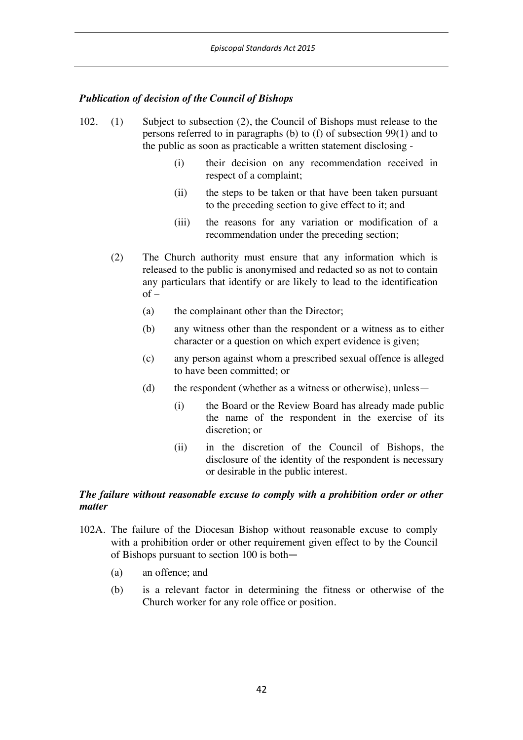# *Publication of decision of the Council of Bishops*

- 102. (1) Subject to subsection (2), the Council of Bishops must release to the persons referred to in paragraphs (b) to (f) of subsection 99(1) and to the public as soon as practicable a written statement disclosing -
	- (i) their decision on any recommendation received in respect of a complaint;
	- (ii) the steps to be taken or that have been taken pursuant to the preceding section to give effect to it; and
	- (iii) the reasons for any variation or modification of a recommendation under the preceding section;
	- (2) The Church authority must ensure that any information which is released to the public is anonymised and redacted so as not to contain any particulars that identify or are likely to lead to the identification  $of -$ 
		- (a) the complainant other than the Director;
		- (b) any witness other than the respondent or a witness as to either character or a question on which expert evidence is given;
		- (c) any person against whom a prescribed sexual offence is alleged to have been committed; or
		- (d) the respondent (whether as a witness or otherwise), unless—
			- (i) the Board or the Review Board has already made public the name of the respondent in the exercise of its discretion; or
			- (ii) in the discretion of the Council of Bishops, the disclosure of the identity of the respondent is necessary or desirable in the public interest.

### *The failure without reasonable excuse to comply with a prohibition order or other matter*

- 102A. The failure of the Diocesan Bishop without reasonable excuse to comply with a prohibition order or other requirement given effect to by the Council of Bishops pursuant to section 100 is both—
	- (a) an offence; and
	- (b) is a relevant factor in determining the fitness or otherwise of the Church worker for any role office or position.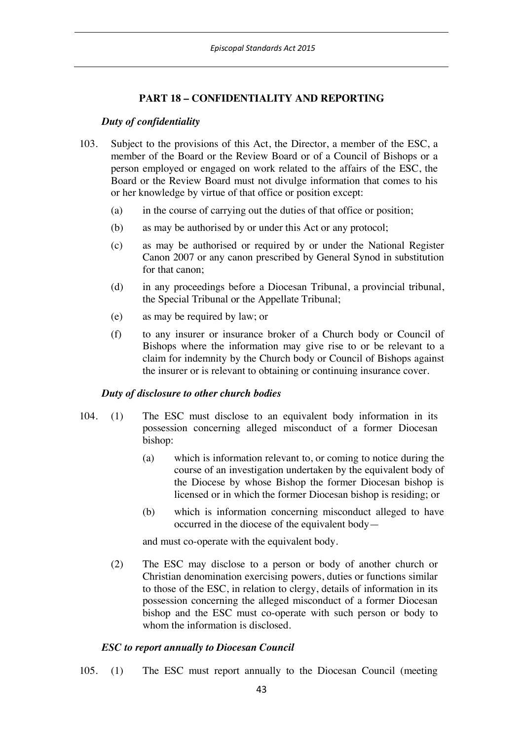# **PART 18 – CONFIDENTIALITY AND REPORTING**

### *Duty of confidentiality*

- 103. Subject to the provisions of this Act, the Director, a member of the ESC, a member of the Board or the Review Board or of a Council of Bishops or a person employed or engaged on work related to the affairs of the ESC, the Board or the Review Board must not divulge information that comes to his or her knowledge by virtue of that office or position except:
	- (a) in the course of carrying out the duties of that office or position;
	- (b) as may be authorised by or under this Act or any protocol;
	- (c) as may be authorised or required by or under the National Register Canon 2007 or any canon prescribed by General Synod in substitution for that canon;
	- (d) in any proceedings before a Diocesan Tribunal, a provincial tribunal, the Special Tribunal or the Appellate Tribunal;
	- (e) as may be required by law; or
	- (f) to any insurer or insurance broker of a Church body or Council of Bishops where the information may give rise to or be relevant to a claim for indemnity by the Church body or Council of Bishops against the insurer or is relevant to obtaining or continuing insurance cover.

### *Duty of disclosure to other church bodies*

- 104. (1) The ESC must disclose to an equivalent body information in its possession concerning alleged misconduct of a former Diocesan bishop:
	- (a) which is information relevant to, or coming to notice during the course of an investigation undertaken by the equivalent body of the Diocese by whose Bishop the former Diocesan bishop is licensed or in which the former Diocesan bishop is residing; or
	- (b) which is information concerning misconduct alleged to have occurred in the diocese of the equivalent body—

and must co-operate with the equivalent body.

(2) The ESC may disclose to a person or body of another church or Christian denomination exercising powers, duties or functions similar to those of the ESC, in relation to clergy, details of information in its possession concerning the alleged misconduct of a former Diocesan bishop and the ESC must co-operate with such person or body to whom the information is disclosed.

# *ESC to report annually to Diocesan Council*

105. (1) The ESC must report annually to the Diocesan Council (meeting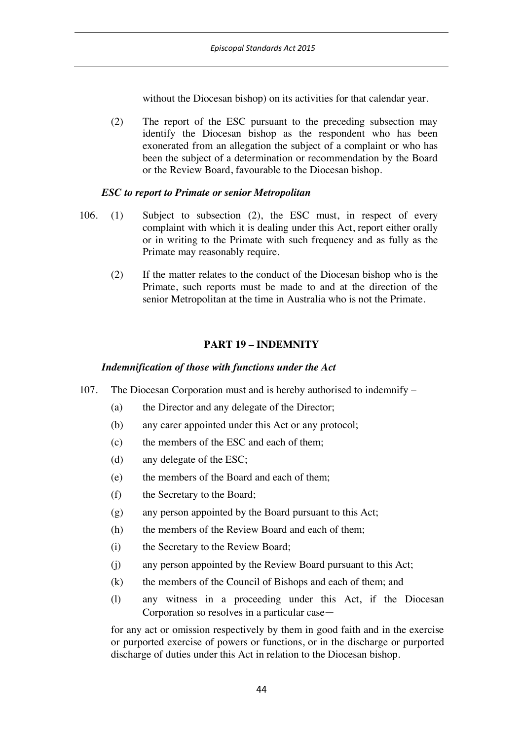without the Diocesan bishop) on its activities for that calendar year.

(2) The report of the ESC pursuant to the preceding subsection may identify the Diocesan bishop as the respondent who has been exonerated from an allegation the subject of a complaint or who has been the subject of a determination or recommendation by the Board or the Review Board, favourable to the Diocesan bishop.

## *ESC to report to Primate or senior Metropolitan*

- 106. (1) Subject to subsection (2), the ESC must, in respect of every complaint with which it is dealing under this Act, report either orally or in writing to the Primate with such frequency and as fully as the Primate may reasonably require.
	- (2) If the matter relates to the conduct of the Diocesan bishop who is the Primate, such reports must be made to and at the direction of the senior Metropolitan at the time in Australia who is not the Primate.

# **PART 19 – INDEMNITY**

# *Indemnification of those with functions under the Act*

- 107. The Diocesan Corporation must and is hereby authorised to indemnify
	- (a) the Director and any delegate of the Director;
	- (b) any carer appointed under this Act or any protocol;
	- (c) the members of the ESC and each of them;
	- (d) any delegate of the ESC;
	- (e) the members of the Board and each of them;
	- (f) the Secretary to the Board;
	- (g) any person appointed by the Board pursuant to this Act;
	- (h) the members of the Review Board and each of them;
	- (i) the Secretary to the Review Board;
	- (j) any person appointed by the Review Board pursuant to this Act;
	- (k) the members of the Council of Bishops and each of them; and
	- (l) any witness in a proceeding under this Act, if the Diocesan Corporation so resolves in a particular case—

for any act or omission respectively by them in good faith and in the exercise or purported exercise of powers or functions, or in the discharge or purported discharge of duties under this Act in relation to the Diocesan bishop.